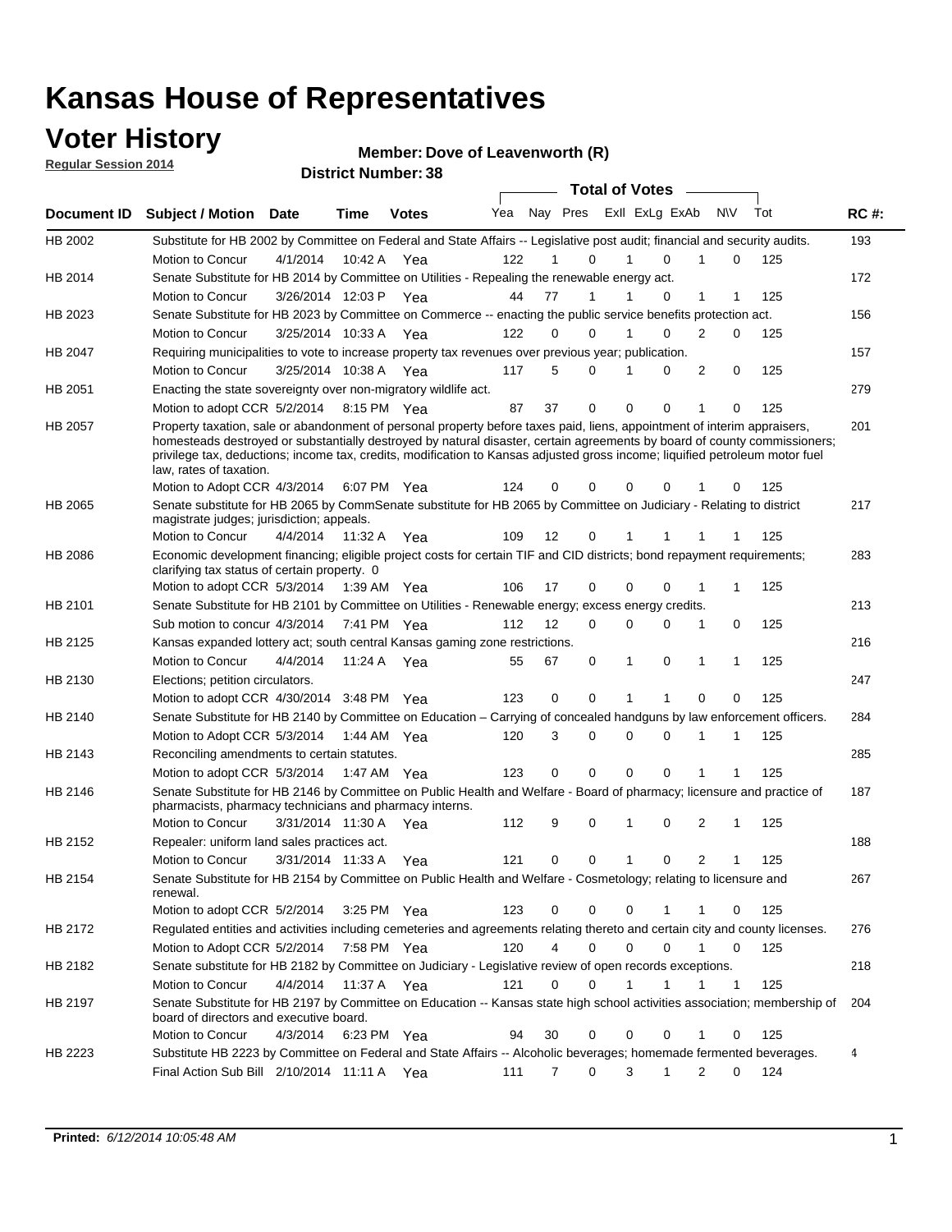### **Voter History**

**Regular Session 2014**

#### **Member: Dove of Leavenworth (R)**

|             |                                                                                                                                                                                                                                                                                                                                                                                                                  |                       |             | <b>DISTRICT MAILINGLY</b> |     |    |             | <b>Total of Votes</b>      |              |                     |     |             |
|-------------|------------------------------------------------------------------------------------------------------------------------------------------------------------------------------------------------------------------------------------------------------------------------------------------------------------------------------------------------------------------------------------------------------------------|-----------------------|-------------|---------------------------|-----|----|-------------|----------------------------|--------------|---------------------|-----|-------------|
| Document ID | <b>Subject / Motion</b>                                                                                                                                                                                                                                                                                                                                                                                          | Date                  | Time        | <b>Votes</b>              | Yea |    |             | Nay Pres Exll ExLg ExAb    |              | <b>NV</b>           | Tot | <b>RC#:</b> |
| HB 2002     | Substitute for HB 2002 by Committee on Federal and State Affairs -- Legislative post audit; financial and security audits.                                                                                                                                                                                                                                                                                       |                       |             |                           |     |    |             |                            |              |                     |     | 193         |
|             | Motion to Concur                                                                                                                                                                                                                                                                                                                                                                                                 | 4/1/2014              | 10:42 A     | Yea                       | 122 |    | 0           | $\Omega$                   |              | 0                   | 125 |             |
| HB 2014     | Senate Substitute for HB 2014 by Committee on Utilities - Repealing the renewable energy act.                                                                                                                                                                                                                                                                                                                    |                       |             |                           |     |    |             |                            |              |                     |     | 172         |
|             | Motion to Concur                                                                                                                                                                                                                                                                                                                                                                                                 | 3/26/2014 12:03 P Yea |             |                           | 44  | 77 | 1           | 0                          | 1            | 1                   | 125 |             |
| HB 2023     | Senate Substitute for HB 2023 by Committee on Commerce -- enacting the public service benefits protection act.                                                                                                                                                                                                                                                                                                   |                       |             |                           |     |    |             |                            |              |                     |     | 156         |
|             | Motion to Concur                                                                                                                                                                                                                                                                                                                                                                                                 | 3/25/2014 10:33 A Yea |             |                           | 122 | 0  | 0           | $\Omega$<br>1              | 2            | 0                   | 125 |             |
| HB 2047     | Requiring municipalities to vote to increase property tax revenues over previous year; publication.                                                                                                                                                                                                                                                                                                              |                       |             |                           |     |    |             |                            |              |                     |     | 157         |
|             | Motion to Concur                                                                                                                                                                                                                                                                                                                                                                                                 | 3/25/2014 10:38 A Yea |             |                           | 117 | 5  | 0           | 0                          | 2            | 0                   | 125 |             |
| HB 2051     | Enacting the state sovereignty over non-migratory wildlife act.                                                                                                                                                                                                                                                                                                                                                  |                       |             |                           |     |    |             |                            |              |                     |     | 279         |
|             | Motion to adopt CCR 5/2/2014                                                                                                                                                                                                                                                                                                                                                                                     |                       | 8:15 PM Yea |                           | 87  | 37 | $\mathbf 0$ | $\mathbf 0$<br>0           | 1            | 0                   | 125 |             |
| HB 2057     | Property taxation, sale or abandonment of personal property before taxes paid, liens, appointment of interim appraisers,<br>homesteads destroyed or substantially destroyed by natural disaster, certain agreements by board of county commissioners;<br>privilege tax, deductions; income tax, credits, modification to Kansas adjusted gross income; liquified petroleum motor fuel<br>law, rates of taxation. |                       |             |                           |     |    |             |                            |              |                     |     | 201         |
|             | Motion to Adopt CCR 4/3/2014                                                                                                                                                                                                                                                                                                                                                                                     |                       |             | 6:07 PM Yea               | 124 | 0  | 0           | $\mathbf 0$<br>0           |              | 0                   | 125 |             |
| HB 2065     | Senate substitute for HB 2065 by CommSenate substitute for HB 2065 by Committee on Judiciary - Relating to district<br>magistrate judges; jurisdiction; appeals.                                                                                                                                                                                                                                                 |                       |             |                           |     |    |             |                            |              |                     |     | 217         |
|             | Motion to Concur                                                                                                                                                                                                                                                                                                                                                                                                 | 4/4/2014              | 11:32 A     | Yea                       | 109 | 12 | 0           | 1                          |              |                     | 125 |             |
| HB 2086     | Economic development financing; eligible project costs for certain TIF and CID districts; bond repayment requirements;<br>clarifying tax status of certain property. 0                                                                                                                                                                                                                                           |                       |             |                           |     |    |             |                            |              |                     |     | 283         |
|             | Motion to adopt CCR 5/3/2014                                                                                                                                                                                                                                                                                                                                                                                     |                       | 1:39 AM Yea |                           | 106 | 17 | 0           | $\mathbf 0$<br>$\Omega$    | 1            | 1                   | 125 |             |
| HB 2101     | Senate Substitute for HB 2101 by Committee on Utilities - Renewable energy; excess energy credits.                                                                                                                                                                                                                                                                                                               |                       |             |                           |     |    |             |                            |              |                     |     | 213         |
|             | Sub motion to concur 4/3/2014                                                                                                                                                                                                                                                                                                                                                                                    |                       |             | 7:41 PM Yea               | 112 | 12 | 0           | $\mathbf 0$<br>$\mathbf 0$ | 1            | 0                   | 125 |             |
| HB 2125     | Kansas expanded lottery act; south central Kansas gaming zone restrictions.                                                                                                                                                                                                                                                                                                                                      |                       |             |                           |     |    |             |                            |              |                     |     | 216         |
|             | Motion to Concur                                                                                                                                                                                                                                                                                                                                                                                                 | 4/4/2014              | 11:24 A     | Yea                       | 55  | 67 | 0           | 1<br>0                     | 1            | 1                   | 125 |             |
| HB 2130     | Elections; petition circulators.                                                                                                                                                                                                                                                                                                                                                                                 |                       |             |                           |     |    |             |                            |              |                     |     | 247         |
|             | Motion to adopt CCR 4/30/2014 3:48 PM Yea                                                                                                                                                                                                                                                                                                                                                                        |                       |             |                           | 123 | 0  | 0           |                            | $\Omega$     | 0                   | 125 |             |
| HB 2140     | Senate Substitute for HB 2140 by Committee on Education – Carrying of concealed handguns by law enforcement officers.                                                                                                                                                                                                                                                                                            |                       |             |                           |     |    |             |                            |              |                     |     | 284         |
|             | Motion to Adopt CCR 5/3/2014                                                                                                                                                                                                                                                                                                                                                                                     |                       |             | 1:44 AM Yea               | 120 | 3  | 0           | $\mathbf 0$<br>$\mathbf 0$ | 1            | 1                   | 125 |             |
| HB 2143     | Reconciling amendments to certain statutes.                                                                                                                                                                                                                                                                                                                                                                      |                       |             |                           |     |    |             |                            |              |                     |     | 285         |
|             | Motion to adopt CCR 5/3/2014                                                                                                                                                                                                                                                                                                                                                                                     |                       | 1:47 AM Yea |                           | 123 | 0  | 0           | $\mathbf 0$<br>$\mathbf 0$ | 1            | 1                   | 125 |             |
| HB 2146     | Senate Substitute for HB 2146 by Committee on Public Health and Welfare - Board of pharmacy; licensure and practice of<br>pharmacists, pharmacy technicians and pharmacy interns.                                                                                                                                                                                                                                |                       |             |                           |     |    |             |                            |              |                     |     | 187         |
|             | Motion to Concur                                                                                                                                                                                                                                                                                                                                                                                                 | 3/31/2014 11:30 A     |             | Yea                       | 112 | 9  | 0           | $\mathbf 0$<br>1           | 2            | 1                   | 125 |             |
| HB 2152     | Repealer: uniform land sales practices act.                                                                                                                                                                                                                                                                                                                                                                      |                       |             |                           |     |    |             |                            |              |                     |     | 188         |
|             | Motion to Concur                                                                                                                                                                                                                                                                                                                                                                                                 | 3/31/2014 11:33 A     |             | Yea                       | 121 | 0  | 0           | 1<br>0                     |              | $\overline{2}$<br>1 | 125 |             |
| HB 2154     | Senate Substitute for HB 2154 by Committee on Public Health and Welfare - Cosmetology; relating to licensure and<br>renewal.                                                                                                                                                                                                                                                                                     |                       |             |                           |     |    |             |                            |              |                     |     | 267         |
|             | Motion to adopt CCR 5/2/2014                                                                                                                                                                                                                                                                                                                                                                                     |                       |             | 3:25 PM Yea               | 123 | 0  | 0           | 0<br>1                     | 1            | 0                   | 125 |             |
| HB 2172     | Requlated entities and activities including cemeteries and agreements relating thereto and certain city and county licenses.                                                                                                                                                                                                                                                                                     |                       |             |                           |     |    |             |                            |              |                     |     | 276         |
|             | Motion to Adopt CCR 5/2/2014                                                                                                                                                                                                                                                                                                                                                                                     |                       |             | 7:58 PM Yea               | 120 | 4  | $\mathbf 0$ | $\mathbf 0$<br>$\Omega$    | $\mathbf{1}$ | $\mathbf 0$         | 125 |             |
| HB 2182     | Senate substitute for HB 2182 by Committee on Judiciary - Legislative review of open records exceptions.                                                                                                                                                                                                                                                                                                         |                       |             |                           |     |    |             |                            |              |                     |     | 218         |
|             | Motion to Concur                                                                                                                                                                                                                                                                                                                                                                                                 | 4/4/2014              | 11:37 A Yea |                           | 121 | 0  | $\mathbf 0$ | 1<br>1                     | 1            | $\mathbf{1}$        | 125 |             |
| HB 2197     | Senate Substitute for HB 2197 by Committee on Education -- Kansas state high school activities association; membership of<br>board of directors and executive board.                                                                                                                                                                                                                                             |                       |             |                           |     |    |             |                            |              |                     |     | 204         |
|             | Motion to Concur                                                                                                                                                                                                                                                                                                                                                                                                 | 4/3/2014              |             | 6:23 PM Yea               | 94  | 30 | 0           | 0<br>0                     | 1            | 0                   | 125 |             |
| HB 2223     | Substitute HB 2223 by Committee on Federal and State Affairs -- Alcoholic beverages; homemade fermented beverages.                                                                                                                                                                                                                                                                                               |                       |             |                           |     |    |             |                            |              |                     |     | 4           |
|             | Final Action Sub Bill 2/10/2014 11:11 A Yea                                                                                                                                                                                                                                                                                                                                                                      |                       |             |                           | 111 | 7  | 0           | 3<br>1                     |              | 2<br>0              | 124 |             |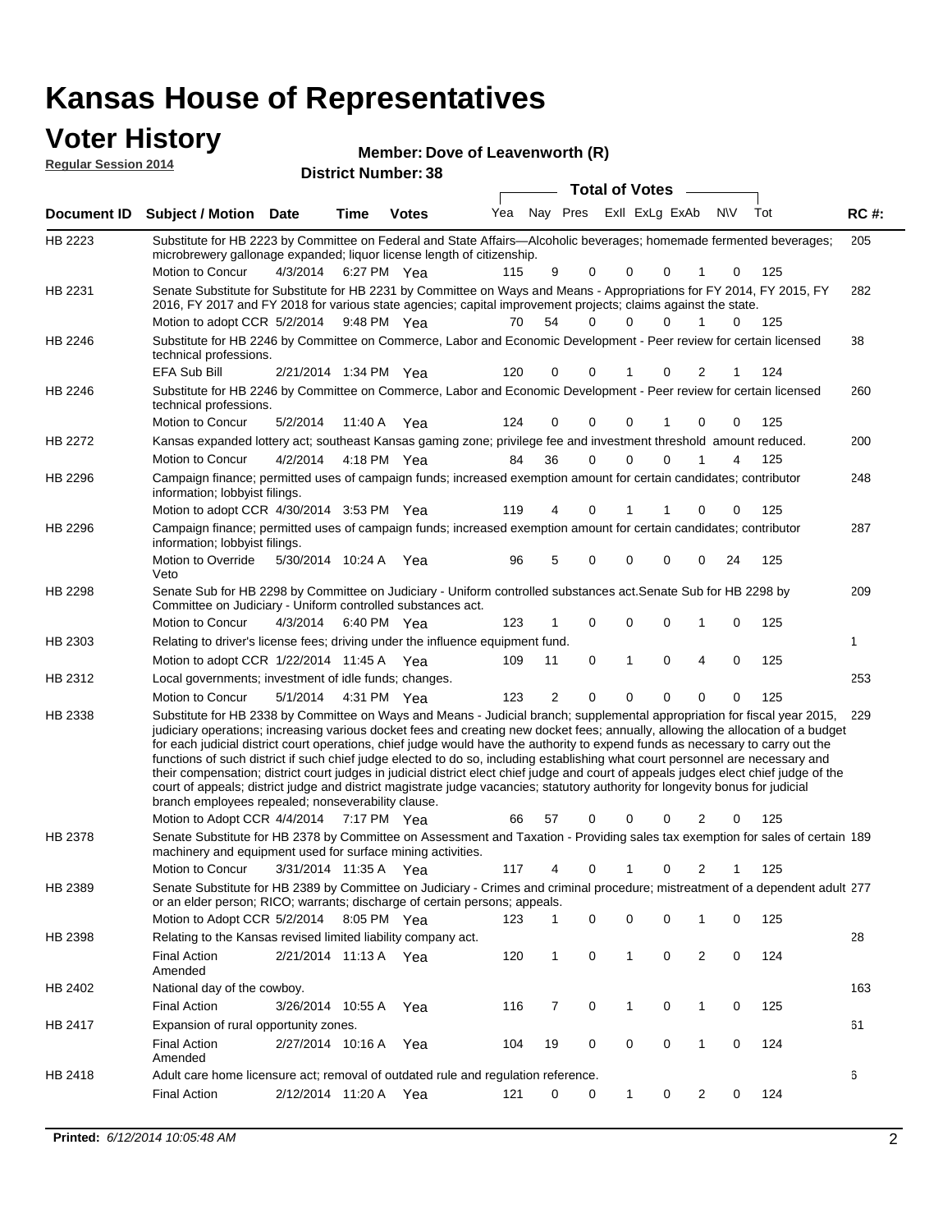| <b>Voter History</b><br><b>Regular Session 2014</b> |                                                                                                                                                                                                                                        |                                   |             | <b>District Number: 38</b> | Member: Dove of Leavenworth (R) |                      |                      |                          |                       |               |                      |            |             |
|-----------------------------------------------------|----------------------------------------------------------------------------------------------------------------------------------------------------------------------------------------------------------------------------------------|-----------------------------------|-------------|----------------------------|---------------------------------|----------------------|----------------------|--------------------------|-----------------------|---------------|----------------------|------------|-------------|
|                                                     |                                                                                                                                                                                                                                        |                                   |             |                            |                                 |                      |                      |                          | <b>Total of Votes</b> |               |                      |            |             |
| Document ID                                         | <b>Subject / Motion Date</b>                                                                                                                                                                                                           |                                   | <b>Time</b> | <b>Votes</b>               | Yea                             |                      | Nay Pres             |                          | Exll ExLg ExAb        |               | <b>NV</b>            | Tot        | <b>RC#:</b> |
| HB 2223                                             | Substitute for HB 2223 by Committee on Federal and State Affairs—Alcoholic beverages; homemade fermented beverages;<br>microbrewery gallonage expanded; liquor license length of citizenship.<br>Motion to Concur                      | 4/3/2014                          | 6:27 PM Yea |                            | 115                             | 9                    | $\Omega$             | 0                        | $\Omega$              | 1             | 0                    | 125        | 205         |
| HB 2231                                             | Senate Substitute for Substitute for HB 2231 by Committee on Ways and Means - Appropriations for FY 2014, FY 2015, FY<br>2016, FY 2017 and FY 2018 for various state agencies; capital improvement projects; claims against the state. |                                   |             |                            |                                 |                      |                      |                          |                       |               |                      |            | 282         |
| <b>HB 2246</b>                                      | Motion to adopt CCR 5/2/2014 9:48 PM Yea<br>Substitute for HB 2246 by Committee on Commerce, Labor and Economic Development - Peer review for certain licensed<br>technical professions.                                               |                                   |             |                            | 70                              | 54                   | 0                    | 0                        | 0                     | 1             | $\Omega$             | 125        | 38          |
| HB 2246                                             | <b>EFA Sub Bill</b><br>Substitute for HB 2246 by Committee on Commerce, Labor and Economic Development - Peer review for certain licensed<br>technical professions.<br>Motion to Concur                                                | 2/21/2014 1:34 PM Yea<br>5/2/2014 | 11:40 A Yea |                            | 120<br>124                      | $\Omega$<br>0        | $\Omega$<br>$\Omega$ | 0                        | 0                     | 2<br>$\Omega$ | 0                    | 124<br>125 | 260         |
| <b>HB 2272</b>                                      | Kansas expanded lottery act; southeast Kansas gaming zone; privilege fee and investment threshold amount reduced.<br>Motion to Concur                                                                                                  | 4/2/2014                          | 4:18 PM Yea |                            | 84                              | 36                   | $\Omega$             | $\Omega$                 | $\Omega$              |               | 4                    | 125        | 200         |
| HB 2296                                             | Campaign finance; permitted uses of campaign funds; increased exemption amount for certain candidates; contributor<br>information; lobbyist filings.<br>Motion to adopt CCR 4/30/2014 3:53 PM Yea                                      |                                   |             |                            | 119                             | 4                    | $\Omega$             | 1                        |                       | $\Omega$      | $\Omega$             | 125        | 248         |
| HB 2296                                             | Campaign finance; permitted uses of campaign funds; increased exemption amount for certain candidates; contributor<br>information; lobbyist filings.<br>Motion to Override<br>Veto                                                     | 5/30/2014 10:24 A Yea             |             |                            | 96                              | 5                    | 0                    | 0                        | 0                     | $\Omega$      | 24                   | 125        | 287         |
| <b>HB 2298</b>                                      | Senate Sub for HB 2298 by Committee on Judiciary - Uniform controlled substances act. Senate Sub for HB 2298 by<br>Committee on Judiciary - Uniform controlled substances act.                                                         |                                   |             |                            |                                 |                      |                      |                          |                       |               |                      |            | 209         |
| HB 2303                                             | Motion to Concur<br>Relating to driver's license fees; driving under the influence equipment fund.                                                                                                                                     | 4/3/2014                          | 6:40 PM Yea |                            | 123                             | 1                    | 0                    | 0                        | $\mathbf 0$           | 1             | 0                    | 125        | 1           |
| HB 2312                                             | Motion to adopt CCR 1/22/2014 11:45 A Yea<br>Local governments; investment of idle funds; changes.<br>Motion to Concur                                                                                                                 | 5/1/2014                          | 4:31 PM Yea |                            | 109<br>123                      | 11<br>$\overline{2}$ | $\Omega$<br>$\Omega$ | $\mathbf{1}$<br>$\Omega$ | $\Omega$<br>$\Omega$  | 4<br>$\Omega$ | $\Omega$<br>$\Omega$ | 125<br>125 | 253         |
| HB 2338                                             | Substitute for HB 2338 by Committee on Ways and Means - Judicial branch; supplemental appropriation for fiscal year 2015, 229                                                                                                          |                                   |             |                            |                                 |                      |                      |                          |                       |               |                      |            |             |

5. 229 Motion to Adopt CCR 4/4/2014 7:17 PM Yea 66 57 0 0 0 2 0 125 judiciary operations; increasing various docket fees and creating new docket fees; annually, allowing the allocation of a budget for each judicial district court operations, chief judge would have the authority to expend funds as necessary to carry out the functions of such district if such chief judge elected to do so, including establishing what court personnel are necessary and their compensation; district court judges in judicial district elect chief judge and court of appeals judges elect chief judge of the court of appeals; district judge and district magistrate judge vacancies; statutory authority for longevity bonus for judicial branch employees repealed; nonseverability clause. 7:17 PM Yea 66 57 0 0 0 2 0 Senate Substitute for HB 2378 by Committee on Assessment and Taxation - Providing sales tax exemption for sales of certain 189 HB 2378

3/31/2014 Motion to Concur Yea 125 11:35 A 117 4 0 0 21 1 machinery and equipment used for surface mining activities. Senate Substitute for HB 2389 by Committee on Judiciary - Crimes and criminal procedure; mistreatment of a dependent adult 277 Motion to Adopt CCR 5/2/2014 8:05 PM Yea 123 1 0 0 0 1 0 125 HB 2389 or an elder person; RICO; warrants; discharge of certain persons; appeals. 28 2/21/2014 Final Action Yea 124 11:13 A 120 1 0 0 20 1 HB 2398 Amended Relating to the Kansas revised limited liability company act. 163 Final Action 3/26/2014 10:55 A Yea 116 7 0 1 0 125 HB 2402 National day of the cowboy. 61 2/27/2014 Final Action Yea 124 10:16 A 104 19 0 0 10 0 HB 2417 Amended Expansion of rural opportunity zones. 6 HB 2418 Adult care home licensure act; removal of outdated rule and regulation reference.

2/12/2014 Final Action Yea 124 11:20 A 121 0 0 0 20 1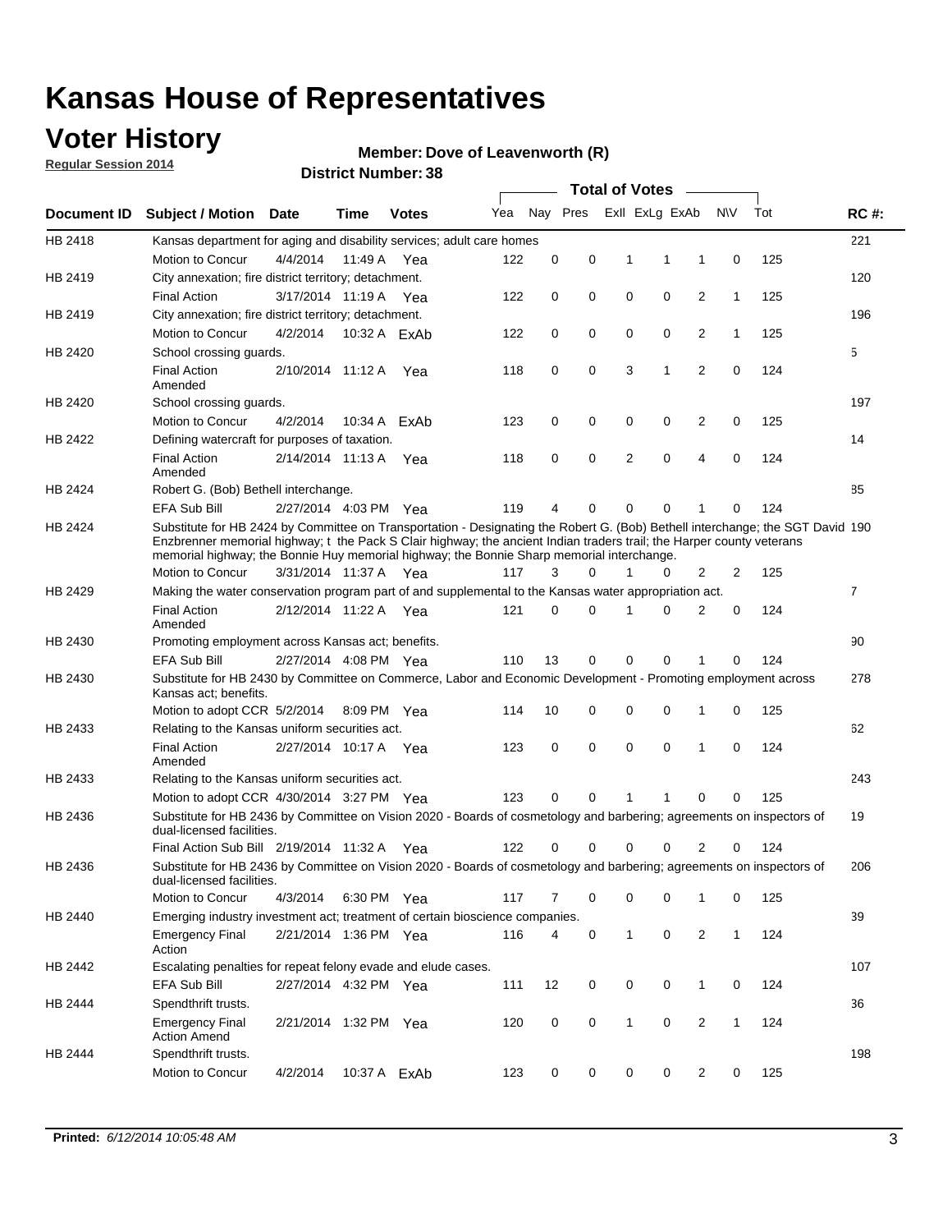### **Voter History**

**Regular Session 2014**

#### **Member: Dove of Leavenworth (R)**

|             |                                                                                                                                                                                                                                                                                                                                                      |                       |         | <b>DISUILLINUIIIIDEI.JO</b> |     |             |   |              | <b>Total of Votes</b>   | $\sim$         |              |     |                |
|-------------|------------------------------------------------------------------------------------------------------------------------------------------------------------------------------------------------------------------------------------------------------------------------------------------------------------------------------------------------------|-----------------------|---------|-----------------------------|-----|-------------|---|--------------|-------------------------|----------------|--------------|-----|----------------|
| Document ID | <b>Subject / Motion Date</b>                                                                                                                                                                                                                                                                                                                         |                       | Time    | <b>Votes</b>                | Yea |             |   |              | Nay Pres ExII ExLg ExAb |                | <b>NV</b>    | Tot | <b>RC#:</b>    |
| HB 2418     | Kansas department for aging and disability services; adult care homes                                                                                                                                                                                                                                                                                |                       |         |                             |     |             |   |              |                         |                |              |     | 221            |
|             | Motion to Concur                                                                                                                                                                                                                                                                                                                                     | 4/4/2014              | 11:49 A | Yea                         | 122 | 0           | 0 | 1            | 1                       | 1              | 0            | 125 |                |
| HB 2419     | City annexation; fire district territory; detachment.                                                                                                                                                                                                                                                                                                |                       |         |                             |     |             |   |              |                         |                |              |     | 120            |
|             | <b>Final Action</b>                                                                                                                                                                                                                                                                                                                                  | 3/17/2014 11:19 A Yea |         |                             | 122 | 0           | 0 | $\mathbf 0$  | 0                       | $\overline{2}$ | $\mathbf{1}$ | 125 |                |
| HB 2419     | City annexation; fire district territory; detachment.                                                                                                                                                                                                                                                                                                |                       |         |                             |     |             |   |              |                         |                |              |     | 196            |
|             | Motion to Concur                                                                                                                                                                                                                                                                                                                                     | 4/2/2014              |         | 10:32 A ExAb                | 122 | 0           | 0 | 0            | 0                       | 2              | $\mathbf{1}$ | 125 |                |
| HB 2420     | School crossing guards.                                                                                                                                                                                                                                                                                                                              |                       |         |                             |     |             |   |              |                         |                |              |     | 5              |
|             | <b>Final Action</b><br>Amended                                                                                                                                                                                                                                                                                                                       | 2/10/2014 11:12 A Yea |         |                             | 118 | 0           | 0 | 3            | 1                       | 2              | 0            | 124 |                |
| HB 2420     | School crossing guards.                                                                                                                                                                                                                                                                                                                              |                       |         |                             |     |             |   |              |                         |                |              |     | 197            |
|             | Motion to Concur                                                                                                                                                                                                                                                                                                                                     | 4/2/2014              | 10:34 A | ExAb                        | 123 | 0           | 0 | 0            | 0                       | 2              | 0            | 125 |                |
| HB 2422     | Defining watercraft for purposes of taxation.                                                                                                                                                                                                                                                                                                        |                       |         |                             |     |             |   |              |                         |                |              |     | 14             |
|             | <b>Final Action</b><br>Amended                                                                                                                                                                                                                                                                                                                       | 2/14/2014 11:13 A     |         | Yea                         | 118 | 0           | 0 | 2            | 0                       | 4              | $\mathbf 0$  | 124 |                |
| HB 2424     | Robert G. (Bob) Bethell interchange.                                                                                                                                                                                                                                                                                                                 |                       |         |                             |     |             |   |              |                         |                |              |     | 85             |
|             | <b>EFA Sub Bill</b>                                                                                                                                                                                                                                                                                                                                  | 2/27/2014 4:03 PM Yea |         |                             | 119 | 4           | 0 | 0            | 0                       | 1              | 0            | 124 |                |
| HB 2424     | Substitute for HB 2424 by Committee on Transportation - Designating the Robert G. (Bob) Bethell interchange; the SGT David 190<br>Enzbrenner memorial highway; t the Pack S Clair highway; the ancient Indian traders trail; the Harper county veterans<br>memorial highway; the Bonnie Huy memorial highway; the Bonnie Sharp memorial interchange. |                       |         |                             |     |             |   |              |                         |                |              |     |                |
|             | Motion to Concur                                                                                                                                                                                                                                                                                                                                     | 3/31/2014 11:37 A     |         | Yea                         | 117 | 3           | 0 | 1            | 0                       | 2              | 2            | 125 |                |
| HB 2429     | Making the water conservation program part of and supplemental to the Kansas water appropriation act.                                                                                                                                                                                                                                                |                       |         |                             |     |             |   |              |                         |                |              |     | $\overline{7}$ |
|             | <b>Final Action</b><br>Amended                                                                                                                                                                                                                                                                                                                       | 2/12/2014 11:22 A     |         | Yea                         | 121 | $\mathbf 0$ | 0 | 1            | 0                       | $\overline{2}$ | 0            | 124 |                |
| HB 2430     | Promoting employment across Kansas act; benefits.                                                                                                                                                                                                                                                                                                    |                       |         |                             |     |             |   |              |                         |                |              |     | 90             |
|             | EFA Sub Bill                                                                                                                                                                                                                                                                                                                                         | 2/27/2014 4:08 PM Yea |         |                             | 110 | 13          | 0 | 0            | 0                       | 1              | 0            | 124 |                |
| HB 2430     | Substitute for HB 2430 by Committee on Commerce, Labor and Economic Development - Promoting employment across<br>Kansas act; benefits.                                                                                                                                                                                                               |                       |         |                             |     |             |   |              |                         |                |              |     | 278            |
|             | Motion to adopt CCR 5/2/2014 8:09 PM Yea                                                                                                                                                                                                                                                                                                             |                       |         |                             | 114 | 10          | 0 | 0            | 0                       | 1              | $\mathbf 0$  | 125 |                |
| HB 2433     | Relating to the Kansas uniform securities act.                                                                                                                                                                                                                                                                                                       |                       |         |                             |     |             |   |              |                         |                |              |     | 62             |
|             | <b>Final Action</b><br>Amended                                                                                                                                                                                                                                                                                                                       | 2/27/2014 10:17 A Yea |         |                             | 123 | 0           | 0 | $\mathbf 0$  | $\mathbf 0$             | 1              | $\mathbf 0$  | 124 |                |
| HB 2433     | Relating to the Kansas uniform securities act.                                                                                                                                                                                                                                                                                                       |                       |         |                             |     |             |   |              |                         |                |              |     | 243            |
|             | Motion to adopt CCR 4/30/2014 3:27 PM Yea                                                                                                                                                                                                                                                                                                            |                       |         |                             | 123 | 0           | 0 | 1            | 1                       | 0              | 0            | 125 |                |
| HB 2436     | Substitute for HB 2436 by Committee on Vision 2020 - Boards of cosmetology and barbering; agreements on inspectors of<br>dual-licensed facilities.                                                                                                                                                                                                   |                       |         |                             |     |             |   |              |                         |                |              |     | 19             |
|             | Final Action Sub Bill 2/19/2014 11:32 A                                                                                                                                                                                                                                                                                                              |                       |         | Yea                         | 122 | 0           | 0 | 0            | 0                       | 2              | 0            | 124 |                |
| HB 2436     | Substitute for HB 2436 by Committee on Vision 2020 - Boards of cosmetology and barbering; agreements on inspectors of<br>dual-licensed facilities.                                                                                                                                                                                                   |                       |         |                             |     |             |   |              |                         |                |              |     | 206            |
|             | Motion to Concur                                                                                                                                                                                                                                                                                                                                     | 4/3/2014              |         | 6:30 PM Yea                 | 117 | 7           | 0 | 0            | 0                       | 1              | 0            | 125 |                |
| HB 2440     | Emerging industry investment act; treatment of certain bioscience companies.                                                                                                                                                                                                                                                                         |                       |         |                             |     |             |   |              |                         |                |              |     | 39             |
|             | <b>Emergency Final</b><br>Action                                                                                                                                                                                                                                                                                                                     | 2/21/2014 1:36 PM Yea |         |                             | 116 | 4           | 0 | $\mathbf{1}$ | 0                       | $\overline{2}$ | $\mathbf{1}$ | 124 |                |
| HB 2442     | Escalating penalties for repeat felony evade and elude cases.                                                                                                                                                                                                                                                                                        |                       |         |                             |     |             |   |              |                         |                |              |     | 107            |
|             | EFA Sub Bill                                                                                                                                                                                                                                                                                                                                         | 2/27/2014 4:32 PM Yea |         |                             | 111 | 12          | 0 | 0            | 0                       | $\mathbf{1}$   | 0            | 124 |                |
| HB 2444     | Spendthrift trusts.                                                                                                                                                                                                                                                                                                                                  |                       |         |                             |     |             |   |              |                         |                |              |     | 36             |
|             | <b>Emergency Final</b><br><b>Action Amend</b>                                                                                                                                                                                                                                                                                                        | 2/21/2014 1:32 PM Yea |         |                             | 120 | 0           | 0 | 1            | 0                       | $\overline{2}$ | 1            | 124 |                |
| HB 2444     | Spendthrift trusts.                                                                                                                                                                                                                                                                                                                                  |                       |         |                             |     |             |   |              |                         |                |              |     | 198            |
|             | Motion to Concur                                                                                                                                                                                                                                                                                                                                     | 4/2/2014              |         | 10:37 A ExAb                | 123 | 0           | 0 | 0            | 0                       | $\overline{2}$ | 0            | 125 |                |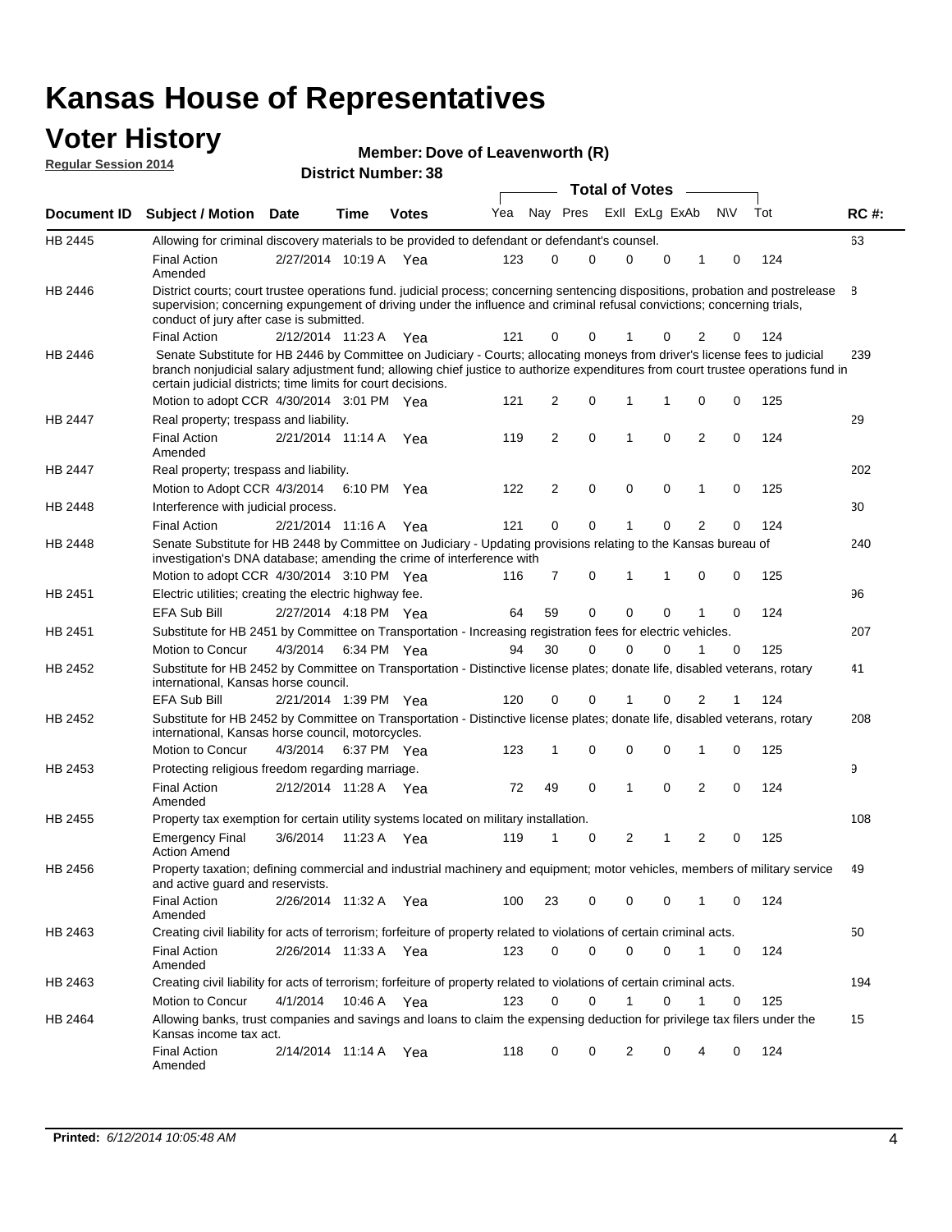# **Voter History Member: Regular Session 2014**

| Member: Dove of Leavenworth (R) |  |  |
|---------------------------------|--|--|
|---------------------------------|--|--|

| <u> Reyulai Jessiuli zuli+</u> |                                                                                                                                                                                                                                                                                                                                 |                       |      | <b>District Number: 38</b> |     |    |                |             |                       |             |                |             |     |       |
|--------------------------------|---------------------------------------------------------------------------------------------------------------------------------------------------------------------------------------------------------------------------------------------------------------------------------------------------------------------------------|-----------------------|------|----------------------------|-----|----|----------------|-------------|-----------------------|-------------|----------------|-------------|-----|-------|
|                                |                                                                                                                                                                                                                                                                                                                                 |                       |      |                            |     |    |                |             | <b>Total of Votes</b> |             |                |             |     |       |
| Document ID                    | <b>Subject / Motion Date</b>                                                                                                                                                                                                                                                                                                    |                       | Time | <b>Votes</b>               | Yea |    | Nay Pres       |             | Exll ExLg ExAb        |             |                | <b>NV</b>   | Tot | RC #: |
| <b>HB 2445</b>                 | Allowing for criminal discovery materials to be provided to defendant or defendant's counsel.                                                                                                                                                                                                                                   |                       |      |                            |     |    |                |             |                       |             |                |             |     | 63    |
|                                | <b>Final Action</b><br>Amended                                                                                                                                                                                                                                                                                                  | 2/27/2014 10:19 A Yea |      |                            | 123 |    | $\Omega$       | 0           | 0                     | 0           | 1              | 0           | 124 |       |
| HB 2446                        | District courts; court trustee operations fund. judicial process; concerning sentencing dispositions, probation and postrelease<br>supervision; concerning expungement of driving under the influence and criminal refusal convictions; concerning trials,<br>conduct of jury after case is submitted.                          |                       |      |                            |     |    |                |             |                       |             |                |             |     | 8     |
|                                | <b>Final Action</b>                                                                                                                                                                                                                                                                                                             | 2/12/2014 11:23 A     |      | Yea                        | 121 |    | $\Omega$       | 0           |                       | 0           | 2              | 0           | 124 |       |
| HB 2446                        | Senate Substitute for HB 2446 by Committee on Judiciary - Courts; allocating moneys from driver's license fees to judicial<br>branch nonjudicial salary adjustment fund; allowing chief justice to authorize expenditures from court trustee operations fund in<br>certain judicial districts; time limits for court decisions. |                       |      |                            |     |    |                |             |                       |             |                |             |     | 239   |
|                                | Motion to adopt CCR 4/30/2014 3:01 PM Yea                                                                                                                                                                                                                                                                                       |                       |      |                            | 121 |    | $\overline{2}$ | 0           | 1                     | 1           | $\mathbf 0$    | 0           | 125 |       |
| HB 2447                        | Real property; trespass and liability.                                                                                                                                                                                                                                                                                          |                       |      |                            |     |    |                |             |                       |             |                |             |     | 29    |
|                                | <b>Final Action</b><br>Amended                                                                                                                                                                                                                                                                                                  | 2/21/2014 11:14 A     |      | Yea                        | 119 |    | 2              | 0           | 1                     | 0           | 2              | 0           | 124 |       |
| <b>HB 2447</b>                 | Real property; trespass and liability.                                                                                                                                                                                                                                                                                          |                       |      |                            |     |    |                |             |                       |             |                |             |     | 202   |
|                                | Motion to Adopt CCR 4/3/2014                                                                                                                                                                                                                                                                                                    |                       |      | 6:10 PM Yea                | 122 |    | $\overline{2}$ | 0           | 0                     | $\mathbf 0$ | 1              | 0           | 125 |       |
| HB 2448                        | Interference with judicial process.                                                                                                                                                                                                                                                                                             |                       |      |                            |     |    |                |             |                       |             |                |             |     | 30    |
|                                | <b>Final Action</b>                                                                                                                                                                                                                                                                                                             | 2/21/2014 11:16 A     |      | Yea                        | 121 |    | $\mathbf 0$    | 0           | 1                     | $\mathbf 0$ | $\overline{2}$ | $\Omega$    | 124 |       |
| HB 2448                        | Senate Substitute for HB 2448 by Committee on Judiciary - Updating provisions relating to the Kansas bureau of<br>investigation's DNA database; amending the crime of interference with                                                                                                                                         |                       |      |                            |     |    |                |             |                       |             |                |             |     | 240   |
|                                | Motion to adopt CCR 4/30/2014 3:10 PM Yea                                                                                                                                                                                                                                                                                       |                       |      |                            | 116 |    | 7              | 0           | 1                     | 1           | 0              | 0           | 125 |       |
| HB 2451                        | Electric utilities; creating the electric highway fee.                                                                                                                                                                                                                                                                          |                       |      |                            |     |    |                |             |                       |             |                |             |     | 96    |
|                                | <b>EFA Sub Bill</b>                                                                                                                                                                                                                                                                                                             | 2/27/2014 4:18 PM Yea |      |                            | 64  | 59 |                | 0           | 0                     | $\mathbf 0$ | 1              | $\mathbf 0$ | 124 |       |
| HB 2451                        | Substitute for HB 2451 by Committee on Transportation - Increasing registration fees for electric vehicles.                                                                                                                                                                                                                     |                       |      |                            |     |    |                |             |                       |             |                |             |     | 207   |
|                                | Motion to Concur                                                                                                                                                                                                                                                                                                                | 4/3/2014              |      | 6:34 PM Yea                | 94  | 30 |                | $\mathbf 0$ | $\mathbf{0}$          | 0           | 1              | $\mathbf 0$ | 125 |       |
| HB 2452                        | Substitute for HB 2452 by Committee on Transportation - Distinctive license plates; donate life, disabled veterans, rotary<br>international, Kansas horse council.                                                                                                                                                              |                       |      |                            |     |    |                |             |                       |             |                |             |     | 41    |
|                                | <b>EFA Sub Bill</b>                                                                                                                                                                                                                                                                                                             | 2/21/2014 1:39 PM Yea |      |                            | 120 |    | 0              | 0           | 1                     | 0           | 2              |             | 124 |       |
| <b>HB 2452</b>                 | Substitute for HB 2452 by Committee on Transportation - Distinctive license plates; donate life, disabled veterans, rotary<br>international, Kansas horse council, motorcycles.                                                                                                                                                 |                       |      |                            |     |    |                |             |                       |             |                |             |     | 208   |
|                                | Motion to Concur                                                                                                                                                                                                                                                                                                                | 4/3/2014              |      | 6:37 PM Yea                | 123 | 1  |                | 0           | 0                     | $\mathbf 0$ | 1              | $\mathbf 0$ | 125 |       |
| HB 2453                        | Protecting religious freedom regarding marriage.                                                                                                                                                                                                                                                                                |                       |      |                            |     |    |                |             |                       |             |                |             |     | 9     |
|                                | <b>Final Action</b><br>Amended                                                                                                                                                                                                                                                                                                  | 2/12/2014 11:28 A Yea |      |                            | 72  | 49 |                | 0           | $\mathbf{1}$          | $\Omega$    | 2              | $\mathbf 0$ | 124 |       |
| HB 2455                        | Property tax exemption for certain utility systems located on military installation.                                                                                                                                                                                                                                            |                       |      |                            |     |    |                |             |                       |             |                |             |     | 108   |
|                                | <b>Emergency Final</b><br><b>Action Amend</b>                                                                                                                                                                                                                                                                                   | 3/6/2014              |      | 11:23 A Yea                | 119 | 1  |                | 0           | 2                     | 1           | 2              | 0           | 125 |       |
| HB 2456                        | Property taxation; defining commercial and industrial machinery and equipment; motor vehicles, members of military service<br>and active guard and reservists.                                                                                                                                                                  |                       |      |                            |     |    |                |             |                       |             |                |             |     | 49    |
|                                | <b>Final Action</b><br>Amended                                                                                                                                                                                                                                                                                                  | 2/26/2014 11:32 A Yea |      |                            | 100 | 23 |                | 0           | 0                     | 0           | $\mathbf{1}$   | 0           | 124 |       |
| HB 2463                        | Creating civil liability for acts of terrorism; forfeiture of property related to violations of certain criminal acts.                                                                                                                                                                                                          |                       |      |                            |     |    |                |             |                       |             |                |             |     | 50    |
|                                | <b>Final Action</b><br>Amended                                                                                                                                                                                                                                                                                                  | 2/26/2014 11:33 A Yea |      |                            | 123 |    | 0              | $\mathbf 0$ | 0                     | $\mathbf 0$ | 1              | 0           | 124 |       |
| HB 2463                        | Creating civil liability for acts of terrorism; forfeiture of property related to violations of certain criminal acts.                                                                                                                                                                                                          |                       |      |                            |     |    |                |             |                       |             |                |             |     | 194   |
|                                | Motion to Concur                                                                                                                                                                                                                                                                                                                | 4/1/2014              |      | 10:46 A Yea                | 123 |    | 0              | 0           | 1                     | 0           | 1              | 0           | 125 |       |
| HB 2464                        | Allowing banks, trust companies and savings and loans to claim the expensing deduction for privilege tax filers under the<br>Kansas income tax act.                                                                                                                                                                             |                       |      |                            |     |    |                |             |                       |             |                |             |     | 15    |
|                                | <b>Final Action</b><br>Amended                                                                                                                                                                                                                                                                                                  | 2/14/2014 11:14 A Yea |      |                            | 118 |    | 0              | 0           | 2                     | 0           | 4              | 0           | 124 |       |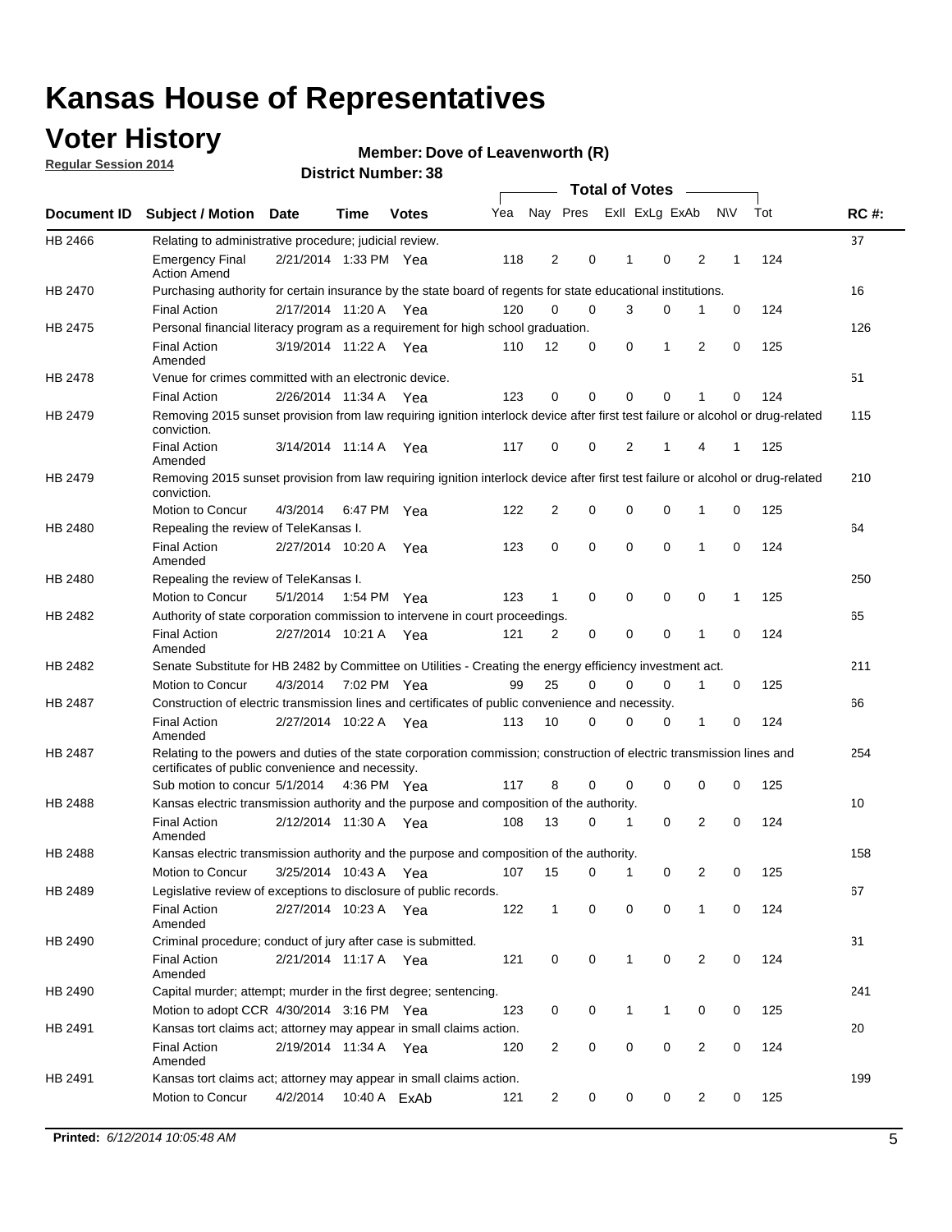### **Voter History**

**Regular Session 2014**

#### **Member: Dove of Leavenworth (R)**

|         |                                                                                                                                                                             |                       |      |              |     |                |          | <b>Total of Votes</b> |                |                |             |     |             |
|---------|-----------------------------------------------------------------------------------------------------------------------------------------------------------------------------|-----------------------|------|--------------|-----|----------------|----------|-----------------------|----------------|----------------|-------------|-----|-------------|
|         | Document ID Subject / Motion Date                                                                                                                                           |                       | Time | <b>Votes</b> | Yea |                | Nay Pres |                       | Exll ExLg ExAb |                | <b>NV</b>   | Tot | <b>RC#:</b> |
| HB 2466 | Relating to administrative procedure; judicial review.                                                                                                                      |                       |      |              |     |                |          |                       |                |                |             |     | 37          |
|         | <b>Emergency Final</b><br><b>Action Amend</b>                                                                                                                               | 2/21/2014 1:33 PM Yea |      |              | 118 | 2              | 0        | 1                     | 0              | 2              | 1           | 124 |             |
| HB 2470 | Purchasing authority for certain insurance by the state board of regents for state educational institutions.                                                                |                       |      |              |     |                |          |                       |                |                |             |     | 16          |
|         | <b>Final Action</b>                                                                                                                                                         | 2/17/2014 11:20 A Yea |      |              | 120 | 0              | 0        | 3                     | 0              | 1              | 0           | 124 |             |
| HB 2475 | Personal financial literacy program as a requirement for high school graduation.                                                                                            |                       |      |              |     |                |          |                       |                |                |             |     | 126         |
|         | <b>Final Action</b><br>Amended                                                                                                                                              | 3/19/2014 11:22 A Yea |      |              | 110 | 12             | 0        | 0                     | 1              | 2              | $\mathbf 0$ | 125 |             |
| HB 2478 | Venue for crimes committed with an electronic device.                                                                                                                       |                       |      |              |     |                |          |                       |                |                |             |     | 51          |
|         | <b>Final Action</b>                                                                                                                                                         | 2/26/2014 11:34 A     |      | Yea          | 123 | 0              | 0        | $\mathbf 0$           | $\mathbf 0$    | 1              | 0           | 124 |             |
| HB 2479 | Removing 2015 sunset provision from law requiring ignition interlock device after first test failure or alcohol or drug-related<br>conviction.                              |                       |      |              |     |                |          |                       |                |                |             |     | 115         |
|         | <b>Final Action</b><br>Amended                                                                                                                                              | 3/14/2014 11:14 A     |      | Yea          | 117 | 0              | 0        | 2                     | 1              | 4              | 1           | 125 |             |
| HB 2479 | Removing 2015 sunset provision from law requiring ignition interlock device after first test failure or alcohol or drug-related<br>conviction.                              |                       |      |              |     |                |          |                       |                |                |             |     | 210         |
|         | Motion to Concur                                                                                                                                                            | 4/3/2014              |      | 6:47 PM Yea  | 122 | 2              | 0        | $\mathbf 0$           | $\mathbf 0$    | 1              | 0           | 125 |             |
| HB 2480 | Repealing the review of TeleKansas I.                                                                                                                                       |                       |      |              |     |                |          |                       |                |                |             |     | 64          |
|         | <b>Final Action</b><br>Amended                                                                                                                                              | 2/27/2014 10:20 A     |      | Yea          | 123 | 0              | 0        | $\mathbf 0$           | $\mathbf 0$    | 1              | 0           | 124 |             |
| HB 2480 | Repealing the review of TeleKansas I.                                                                                                                                       |                       |      |              |     |                |          |                       |                |                |             |     | 250         |
|         | Motion to Concur                                                                                                                                                            | 5/1/2014              |      | 1:54 PM Yea  | 123 | 1              | 0        | 0                     | $\mathbf 0$    | 0              | 1           | 125 |             |
| HB 2482 | Authority of state corporation commission to intervene in court proceedings.                                                                                                |                       |      |              |     |                |          |                       |                |                |             |     | 65          |
|         | <b>Final Action</b><br>Amended                                                                                                                                              | 2/27/2014 10:21 A     |      | Yea          | 121 | 2              | 0        | 0                     | $\mathbf 0$    | 1              | $\mathbf 0$ | 124 |             |
| HB 2482 | Senate Substitute for HB 2482 by Committee on Utilities - Creating the energy efficiency investment act.                                                                    |                       |      |              |     |                |          |                       |                |                |             |     | 211         |
|         | Motion to Concur                                                                                                                                                            | 4/3/2014 7:02 PM Yea  |      |              | 99  | 25             | 0        | 0                     | 0              | 1              | 0           | 125 |             |
| HB 2487 | Construction of electric transmission lines and certificates of public convenience and necessity.                                                                           |                       |      |              |     |                |          |                       |                |                |             |     | 66          |
|         | <b>Final Action</b><br>Amended                                                                                                                                              | 2/27/2014 10:22 A Yea |      |              | 113 | 10             | 0        | 0                     | 0              | 1              | 0           | 124 |             |
| HB 2487 | Relating to the powers and duties of the state corporation commission; construction of electric transmission lines and<br>certificates of public convenience and necessity. |                       |      |              |     |                |          |                       |                |                |             |     | 254         |
|         | Sub motion to concur 5/1/2014                                                                                                                                               |                       |      | 4:36 PM Yea  | 117 | 8              | 0        | 0                     | 0              | 0              | 0           | 125 |             |
| HB 2488 | Kansas electric transmission authority and the purpose and composition of the authority.                                                                                    |                       |      |              |     |                |          |                       |                |                |             |     | 10          |
|         | <b>Final Action</b><br>Amended                                                                                                                                              | 2/12/2014 11:30 A     |      | Yea          | 108 | 13             | 0        | 1                     | 0              | 2              | 0           | 124 |             |
| HB 2488 | Kansas electric transmission authority and the purpose and composition of the authority.                                                                                    |                       |      |              |     |                |          |                       |                |                |             |     | 158         |
|         | Motion to Concur                                                                                                                                                            | 3/25/2014 10:43 A     |      | Yea          | 107 | 15             | 0        | 1                     | 0              | 2              | 0           | 125 |             |
| HB 2489 | Legislative review of exceptions to disclosure of public records.                                                                                                           |                       |      |              |     |                |          |                       |                |                |             |     | 67          |
|         | <b>Final Action</b><br>Amended                                                                                                                                              | 2/27/2014 10:23 A Yea |      |              | 122 | $\mathbf 1$    | 0        | 0                     | $\mathbf 0$    | 1              | 0           | 124 |             |
| HB 2490 | Criminal procedure; conduct of jury after case is submitted.                                                                                                                |                       |      |              |     |                |          |                       |                |                |             |     | 31          |
|         | <b>Final Action</b><br>Amended                                                                                                                                              | 2/21/2014 11:17 A Yea |      |              | 121 | 0              | 0        | 1                     | $\mathbf 0$    | 2              | 0           | 124 |             |
| HB 2490 | Capital murder; attempt; murder in the first degree; sentencing.                                                                                                            |                       |      |              |     |                |          |                       |                |                |             |     | 241         |
|         | Motion to adopt CCR 4/30/2014 3:16 PM Yea                                                                                                                                   |                       |      |              | 123 | 0              | 0        | $\mathbf{1}$          | 1              | 0              | 0           | 125 |             |
| HB 2491 | Kansas tort claims act; attorney may appear in small claims action.                                                                                                         |                       |      |              |     |                |          |                       |                |                |             |     | 20          |
|         | <b>Final Action</b><br>Amended                                                                                                                                              | 2/19/2014 11:34 A Yea |      |              | 120 | 2              | 0        | 0                     | $\pmb{0}$      | $\overline{2}$ | 0           | 124 |             |
| HB 2491 | Kansas tort claims act; attorney may appear in small claims action.                                                                                                         |                       |      |              |     |                |          |                       |                |                |             |     | 199         |
|         | Motion to Concur                                                                                                                                                            | 4/2/2014              |      | 10:40 A ExAb | 121 | $\overline{2}$ | 0        | 0                     | 0              | $\overline{2}$ | 0           | 125 |             |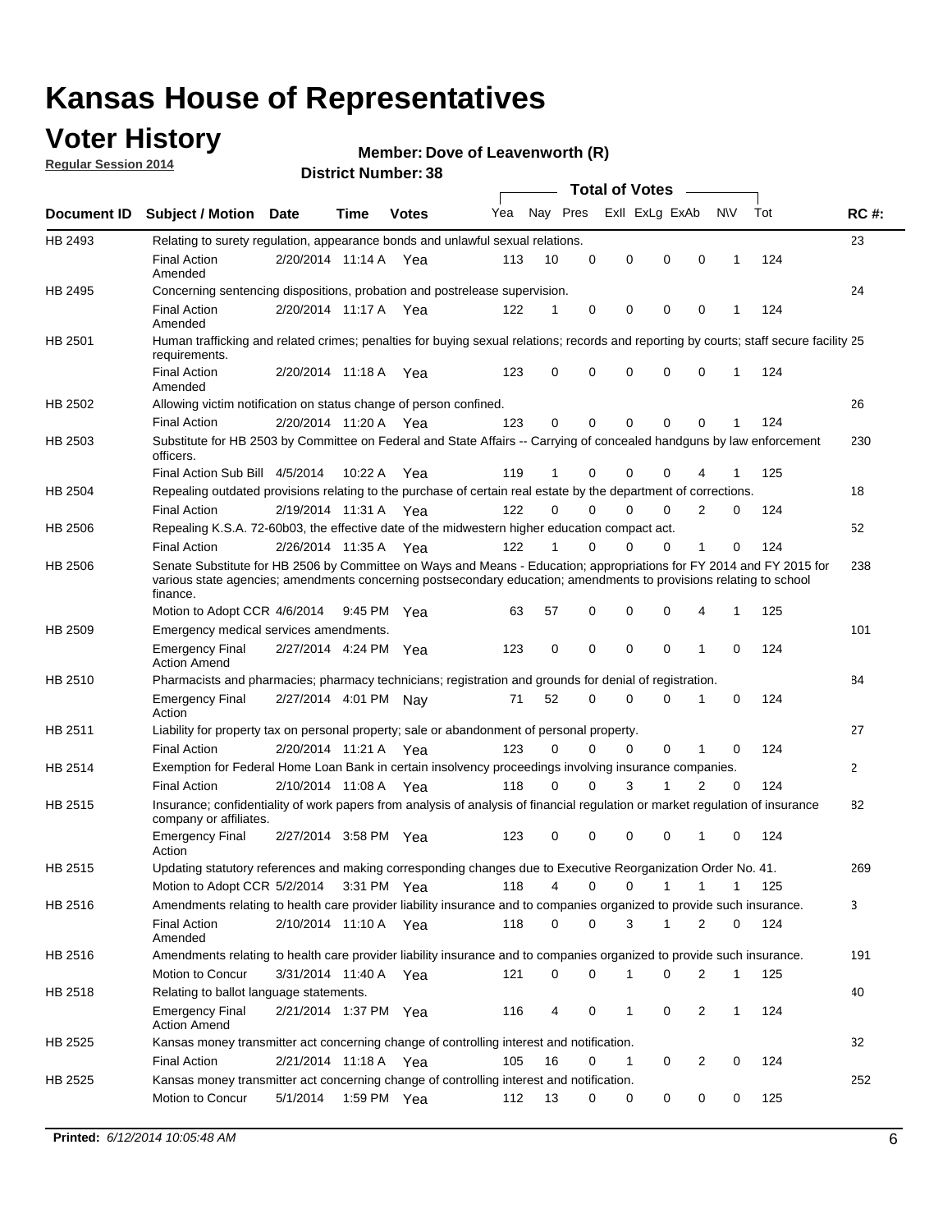### **Voter History**

**Regular Session 2014**

#### **Member: Dove of Leavenworth (R)**

|                |                                                                                                                                                                                                                                                        | <b>Total of Votes</b> |             |              |     |          |          |                |              |                |              |     |              |
|----------------|--------------------------------------------------------------------------------------------------------------------------------------------------------------------------------------------------------------------------------------------------------|-----------------------|-------------|--------------|-----|----------|----------|----------------|--------------|----------------|--------------|-----|--------------|
|                | Document ID Subject / Motion Date                                                                                                                                                                                                                      |                       | Time        | <b>Votes</b> | Yea | Nay Pres |          | Exll ExLg ExAb |              |                | <b>NV</b>    | Tot | <b>RC#:</b>  |
| HB 2493        | Relating to surety regulation, appearance bonds and unlawful sexual relations.                                                                                                                                                                         |                       |             |              |     |          |          |                |              |                |              |     | 23           |
|                | <b>Final Action</b><br>Amended                                                                                                                                                                                                                         | 2/20/2014 11:14 A Yea |             |              | 113 | 10       | 0        | 0              | $\mathbf 0$  | 0              | $\mathbf{1}$ | 124 |              |
| HB 2495        | Concerning sentencing dispositions, probation and postrelease supervision.                                                                                                                                                                             |                       |             |              |     |          |          |                |              |                |              |     | 24           |
|                | <b>Final Action</b><br>Amended                                                                                                                                                                                                                         | 2/20/2014 11:17 A Yea |             |              | 122 | 1        | 0        | 0              | $\mathbf 0$  | 0              | -1           | 124 |              |
| HB 2501        | Human trafficking and related crimes; penalties for buying sexual relations; records and reporting by courts; staff secure facility 25<br>requirements.                                                                                                |                       |             |              |     |          |          |                |              |                |              |     |              |
|                | <b>Final Action</b><br>Amended                                                                                                                                                                                                                         | 2/20/2014 11:18 A Yea |             |              | 123 | 0        | 0        | 0              | $\Omega$     | 0              | $\mathbf{1}$ | 124 |              |
| HB 2502        | Allowing victim notification on status change of person confined.                                                                                                                                                                                      |                       |             |              |     |          |          |                |              |                |              |     | 26           |
|                | <b>Final Action</b>                                                                                                                                                                                                                                    | 2/20/2014 11:20 A Yea |             |              | 123 | 0        | 0        | $\Omega$       | $\Omega$     | 0              |              | 124 |              |
| HB 2503        | Substitute for HB 2503 by Committee on Federal and State Affairs -- Carrying of concealed handguns by law enforcement<br>officers.                                                                                                                     |                       |             |              |     |          |          |                |              |                |              |     | 230          |
|                | Final Action Sub Bill 4/5/2014                                                                                                                                                                                                                         |                       | 10:22 A     | Yea          | 119 | 1        | 0        | $\Omega$       | $\Omega$     | 4              |              | 125 |              |
| HB 2504        | Repealing outdated provisions relating to the purchase of certain real estate by the department of corrections.                                                                                                                                        |                       |             |              |     |          |          |                |              |                |              |     | 18           |
|                | <b>Final Action</b>                                                                                                                                                                                                                                    | 2/19/2014 11:31 A Yea |             |              | 122 | $\Omega$ | $\Omega$ | $\Omega$       | $\Omega$     | 2              | 0            | 124 |              |
| <b>HB 2506</b> | Repealing K.S.A. 72-60b03, the effective date of the midwestern higher education compact act.                                                                                                                                                          |                       |             |              |     |          |          |                |              |                |              |     | 52           |
|                | <b>Final Action</b>                                                                                                                                                                                                                                    | 2/26/2014 11:35 A Yea |             |              | 122 |          | $\Omega$ | $\Omega$       | 0            | 1              | 0            | 124 |              |
| <b>HB 2506</b> | Senate Substitute for HB 2506 by Committee on Ways and Means - Education; appropriations for FY 2014 and FY 2015 for<br>various state agencies; amendments concerning postsecondary education; amendments to provisions relating to school<br>finance. |                       |             |              |     |          |          |                |              |                |              |     | 238          |
|                | Motion to Adopt CCR 4/6/2014                                                                                                                                                                                                                           |                       | 9:45 PM Yea |              | 63  | 57       | 0        | 0              | 0            | 4              | -1           | 125 |              |
| HB 2509        | Emergency medical services amendments.                                                                                                                                                                                                                 |                       |             |              |     |          |          |                |              |                |              |     | 101          |
|                | <b>Emergency Final</b><br><b>Action Amend</b>                                                                                                                                                                                                          | 2/27/2014 4:24 PM Yea |             |              | 123 | 0        | 0        | $\mathbf 0$    | $\mathbf 0$  | 1              | 0            | 124 |              |
| HB 2510        | Pharmacists and pharmacies; pharmacy technicians; registration and grounds for denial of registration.                                                                                                                                                 |                       |             |              |     |          |          |                |              |                |              |     | 84           |
|                | <b>Emergency Final</b><br>Action                                                                                                                                                                                                                       | 2/27/2014 4:01 PM Nay |             |              | 71  | 52       | $\Omega$ | 0              | $\Omega$     | 1              | 0            | 124 |              |
| HB 2511        | Liability for property tax on personal property; sale or abandonment of personal property.                                                                                                                                                             |                       |             |              |     |          |          |                |              |                |              |     | 27           |
|                | <b>Final Action</b>                                                                                                                                                                                                                                    | 2/20/2014 11:21 A     |             | Yea          | 123 | $\Omega$ | $\Omega$ | $\Omega$       | 0            | 1              | 0            | 124 |              |
| HB 2514        | Exemption for Federal Home Loan Bank in certain insolvency proceedings involving insurance companies.                                                                                                                                                  |                       |             |              |     |          |          |                |              |                |              |     | $\mathbf{2}$ |
|                | <b>Final Action</b>                                                                                                                                                                                                                                    | 2/10/2014 11:08 A Yea |             |              | 118 | 0        | 0        | 3              | 1            | $\overline{2}$ | $\mathbf 0$  | 124 |              |
| HB 2515        | Insurance; confidentiality of work papers from analysis of analysis of financial regulation or market regulation of insurance<br>company or affiliates.                                                                                                |                       |             |              |     |          |          |                |              |                |              |     | 82           |
|                | <b>Emergency Final</b><br>Action                                                                                                                                                                                                                       | 2/27/2014 3:58 PM Yea |             |              | 123 | 0        | 0        | 0              | 0            | 1              | 0            | 124 |              |
| <b>HB 2515</b> | Updating statutory references and making corresponding changes due to Executive Reorganization Order No. 41.                                                                                                                                           |                       |             |              |     |          |          |                |              |                |              |     | 269          |
|                | Motion to Adopt CCR 5/2/2014 3:31 PM Yea                                                                                                                                                                                                               |                       |             |              | 118 | 4        | 0        | 0              | $\mathbf{1}$ | $\mathbf{1}$   | $\mathbf{1}$ | 125 |              |
| HB 2516        | Amendments relating to health care provider liability insurance and to companies organized to provide such insurance.                                                                                                                                  |                       |             |              |     |          |          |                |              |                |              |     | 3            |
|                | <b>Final Action</b><br>Amended                                                                                                                                                                                                                         | 2/10/2014 11:10 A Yea |             |              | 118 | 0        | 0        | 3              | $\mathbf{1}$ | 2              | 0            | 124 |              |
| HB 2516        | Amendments relating to health care provider liability insurance and to companies organized to provide such insurance.                                                                                                                                  |                       |             |              |     |          |          |                |              |                |              |     | 191          |
|                | Motion to Concur                                                                                                                                                                                                                                       | 3/31/2014 11:40 A Yea |             |              | 121 | 0        | 0        | 1              | 0            | 2              | $\mathbf 1$  | 125 |              |
| HB 2518        | Relating to ballot language statements.                                                                                                                                                                                                                |                       |             |              |     |          |          |                |              |                |              |     | 40           |
|                | <b>Emergency Final</b><br><b>Action Amend</b>                                                                                                                                                                                                          | 2/21/2014 1:37 PM Yea |             |              | 116 | 4        | 0        | 1              | 0            | 2              | $\mathbf 1$  | 124 |              |
| HB 2525        | Kansas money transmitter act concerning change of controlling interest and notification.                                                                                                                                                               |                       |             |              |     |          |          |                |              |                |              |     | 32           |
|                | <b>Final Action</b>                                                                                                                                                                                                                                    | 2/21/2014 11:18 A Yea |             |              | 105 | 16       | 0        | 1              | 0            | $\overline{2}$ | 0            | 124 |              |
| HB 2525        | Kansas money transmitter act concerning change of controlling interest and notification.                                                                                                                                                               |                       |             |              |     |          |          |                |              |                |              |     | 252          |
|                | Motion to Concur                                                                                                                                                                                                                                       | 5/1/2014              |             | 1:59 PM Yea  | 112 | 13       | 0        | 0              | 0            | 0              | 0            | 125 |              |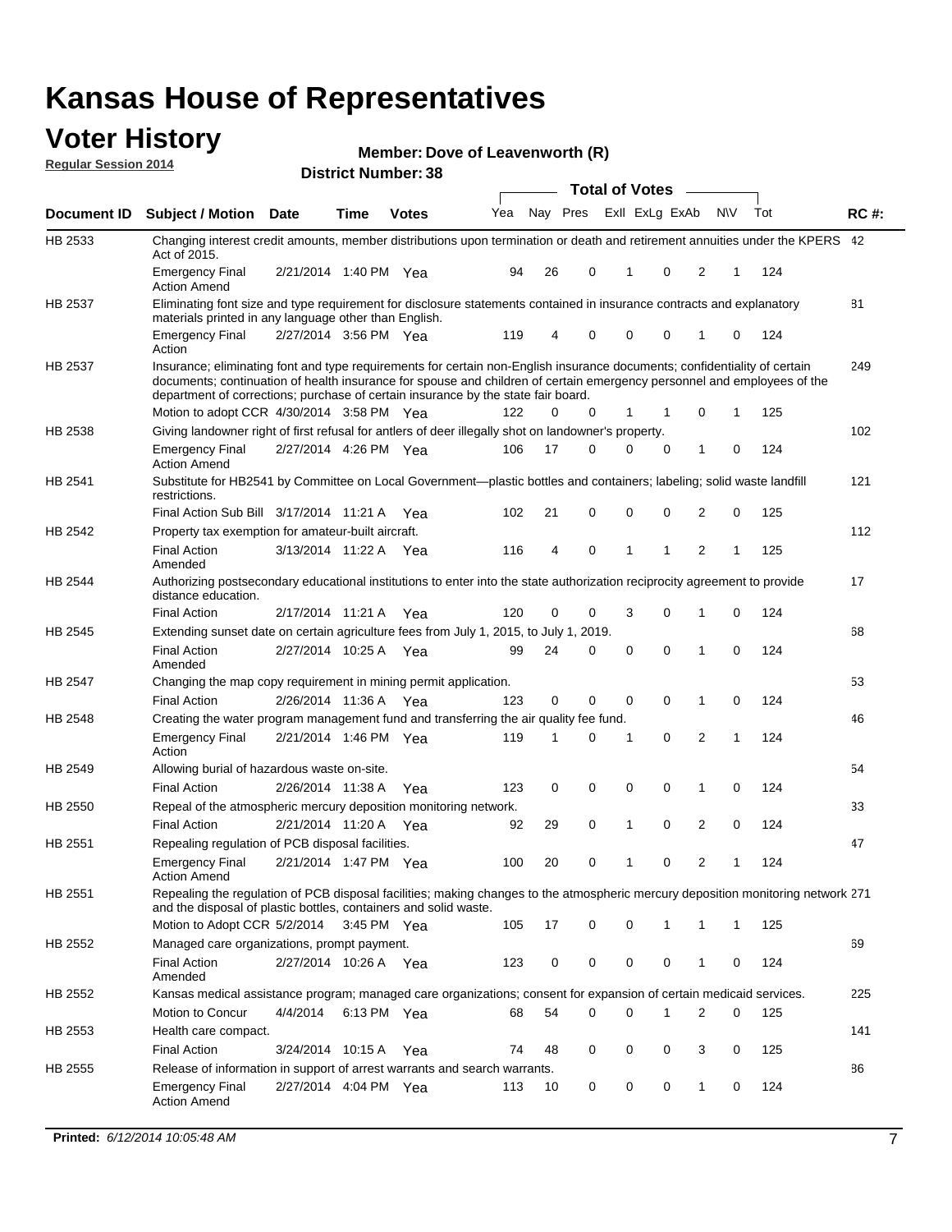#### **Voter History Regular Session 2014**

| Member: Dove of Leavenworth (R) |  |  |
|---------------------------------|--|--|
|---------------------------------|--|--|

|                |                                                                                                                                                                                                                                                                                                                                           |                       |             | <b>DISUILLE INAIIIDEL.JO</b> |     |    |          | <b>Total of Votes</b> | $\sim$         |              |   |     |             |
|----------------|-------------------------------------------------------------------------------------------------------------------------------------------------------------------------------------------------------------------------------------------------------------------------------------------------------------------------------------------|-----------------------|-------------|------------------------------|-----|----|----------|-----------------------|----------------|--------------|---|-----|-------------|
| Document ID    | <b>Subject / Motion Date</b>                                                                                                                                                                                                                                                                                                              |                       | Time        | <b>Votes</b>                 | Yea |    | Nay Pres |                       | Exll ExLg ExAb | <b>NV</b>    |   | Tot | <b>RC#:</b> |
| HB 2533        | Changing interest credit amounts, member distributions upon termination or death and retirement annuities under the KPERS 42<br>Act of 2015.                                                                                                                                                                                              |                       |             |                              |     |    |          |                       |                |              |   |     |             |
|                | <b>Emergency Final</b><br><b>Action Amend</b>                                                                                                                                                                                                                                                                                             | 2/21/2014 1:40 PM Yea |             |                              | 94  | 26 | 0        | 1                     | 0              | 2            | 1 | 124 |             |
| HB 2537        | Eliminating font size and type requirement for disclosure statements contained in insurance contracts and explanatory<br>materials printed in any language other than English.                                                                                                                                                            |                       |             |                              |     |    |          |                       |                |              |   |     | 81          |
|                | <b>Emergency Final</b><br>Action                                                                                                                                                                                                                                                                                                          | 2/27/2014 3:56 PM Yea |             |                              | 119 | 4  | 0        | $\mathbf 0$           | 0              | 1            | 0 | 124 |             |
| <b>HB 2537</b> | Insurance; eliminating font and type requirements for certain non-English insurance documents; confidentiality of certain<br>documents; continuation of health insurance for spouse and children of certain emergency personnel and employees of the<br>department of corrections; purchase of certain insurance by the state fair board. |                       |             |                              |     |    |          |                       |                |              |   |     | 249         |
|                | Motion to adopt CCR 4/30/2014 3:58 PM Yea                                                                                                                                                                                                                                                                                                 |                       |             |                              | 122 | 0  | 0        | 1                     | 1              | 0            | 1 | 125 |             |
| HB 2538        | Giving landowner right of first refusal for antlers of deer illegally shot on landowner's property.                                                                                                                                                                                                                                       |                       |             |                              |     |    |          |                       |                |              |   |     | 102         |
|                | <b>Emergency Final</b><br>Action Amend                                                                                                                                                                                                                                                                                                    | 2/27/2014 4:26 PM Yea |             |                              | 106 | 17 | 0        | 0                     | 0              | 1            | 0 | 124 |             |
| HB 2541        | Substitute for HB2541 by Committee on Local Government—plastic bottles and containers; labeling; solid waste landfill<br>restrictions.                                                                                                                                                                                                    |                       |             |                              |     |    |          |                       |                |              |   |     | 121         |
|                | Final Action Sub Bill 3/17/2014 11:21 A Yea                                                                                                                                                                                                                                                                                               |                       |             |                              | 102 | 21 | 0        | $\mathbf 0$           | 0              | 2            | 0 | 125 |             |
| HB 2542        | Property tax exemption for amateur-built aircraft.<br><b>Final Action</b>                                                                                                                                                                                                                                                                 | 3/13/2014 11:22 A Yea |             |                              | 116 | 4  | 0        | 1                     | 1              | 2            | 1 | 125 | 112         |
| <b>HB 2544</b> | Amended<br>Authorizing postsecondary educational institutions to enter into the state authorization reciprocity agreement to provide<br>distance education.                                                                                                                                                                               |                       |             |                              |     |    |          |                       |                |              |   |     | 17          |
|                | <b>Final Action</b>                                                                                                                                                                                                                                                                                                                       | 2/17/2014 11:21 A Yea |             |                              | 120 | 0  | 0        | 3                     | 0              | 1            | 0 | 124 |             |
| HB 2545        | Extending sunset date on certain agriculture fees from July 1, 2015, to July 1, 2019.                                                                                                                                                                                                                                                     |                       |             |                              |     |    |          |                       |                |              |   |     | 68          |
|                | <b>Final Action</b><br>Amended                                                                                                                                                                                                                                                                                                            | 2/27/2014 10:25 A Yea |             |                              | 99  | 24 | 0        | $\mathbf 0$           | $\Omega$       | 1            | 0 | 124 |             |
| HB 2547        | Changing the map copy requirement in mining permit application.                                                                                                                                                                                                                                                                           |                       |             |                              |     |    |          |                       |                |              |   |     | 53          |
|                | <b>Final Action</b>                                                                                                                                                                                                                                                                                                                       | 2/26/2014 11:36 A     |             | Yea                          | 123 | 0  | 0        | 0                     | 0              | 1            | 0 | 124 |             |
| <b>HB 2548</b> | Creating the water program management fund and transferring the air quality fee fund.                                                                                                                                                                                                                                                     |                       |             |                              |     |    |          |                       |                |              |   |     | 46          |
|                | Emergency Final<br>Action                                                                                                                                                                                                                                                                                                                 | 2/21/2014 1:46 PM Yea |             |                              | 119 | 1  | 0        | 1                     | 0              | 2            | 1 | 124 |             |
| HB 2549        | Allowing burial of hazardous waste on-site.                                                                                                                                                                                                                                                                                               |                       |             |                              |     |    |          |                       |                |              |   |     | 54          |
|                | <b>Final Action</b>                                                                                                                                                                                                                                                                                                                       | 2/26/2014 11:38 A     |             | Yea                          | 123 | 0  | 0        | $\mathbf 0$           | 0              | 1            | 0 | 124 |             |
| <b>HB 2550</b> | Repeal of the atmospheric mercury deposition monitoring network.                                                                                                                                                                                                                                                                          |                       |             |                              |     |    |          |                       |                |              |   |     | 33          |
|                | <b>Final Action</b>                                                                                                                                                                                                                                                                                                                       | 2/21/2014 11:20 A     |             | Yea                          | 92  | 29 | 0        | 1                     | 0              | 2            | 0 | 124 |             |
| HB 2551        | Repealing regulation of PCB disposal facilities.                                                                                                                                                                                                                                                                                          |                       |             |                              |     |    |          |                       |                |              |   |     | 47          |
|                | <b>Emergency Final</b><br>Action Amend                                                                                                                                                                                                                                                                                                    | 2/21/2014 1:47 PM Yea |             |                              | 100 | 20 | 0        | 1                     | 0              | 2            | 1 | 124 |             |
| HB 2551        | Repealing the regulation of PCB disposal facilities; making changes to the atmospheric mercury deposition monitoring network 271<br>and the disposal of plastic bottles, containers and solid waste.                                                                                                                                      |                       |             |                              |     |    |          |                       |                |              |   |     |             |
|                | Motion to Adopt CCR 5/2/2014 3:45 PM Yea                                                                                                                                                                                                                                                                                                  |                       |             |                              | 105 | 17 | 0        | $\mathbf 0$           |                | 1            | 1 | 125 |             |
| HB 2552        | Managed care organizations, prompt payment.                                                                                                                                                                                                                                                                                               |                       |             |                              |     |    |          |                       |                |              |   |     | 69          |
|                | Final Action<br>Amended                                                                                                                                                                                                                                                                                                                   | 2/27/2014 10:26 A Yea |             |                              | 123 | 0  | 0        | 0                     | 0              | 1            | 0 | 124 |             |
| HB 2552        | Kansas medical assistance program; managed care organizations; consent for expansion of certain medicaid services.                                                                                                                                                                                                                        |                       |             |                              |     |    |          |                       |                |              |   |     | 225         |
|                | Motion to Concur                                                                                                                                                                                                                                                                                                                          | 4/4/2014              | 6:13 PM Yea |                              | 68  | 54 | 0        | $\mathbf 0$           | 1              | 2            | 0 | 125 |             |
| HB 2553        | Health care compact.                                                                                                                                                                                                                                                                                                                      |                       |             |                              |     |    |          |                       |                |              |   |     | 141         |
|                | <b>Final Action</b>                                                                                                                                                                                                                                                                                                                       | 3/24/2014 10:15 A     |             | Yea                          | 74  | 48 | 0        | 0                     | 0              | 3            | 0 | 125 |             |
| HB 2555        | Release of information in support of arrest warrants and search warrants.                                                                                                                                                                                                                                                                 |                       |             |                              |     |    |          |                       |                |              |   |     | 86          |
|                | Emergency Final<br><b>Action Amend</b>                                                                                                                                                                                                                                                                                                    | 2/27/2014 4:04 PM Yea |             |                              | 113 | 10 | 0        | 0                     | 0              | $\mathbf{1}$ | 0 | 124 |             |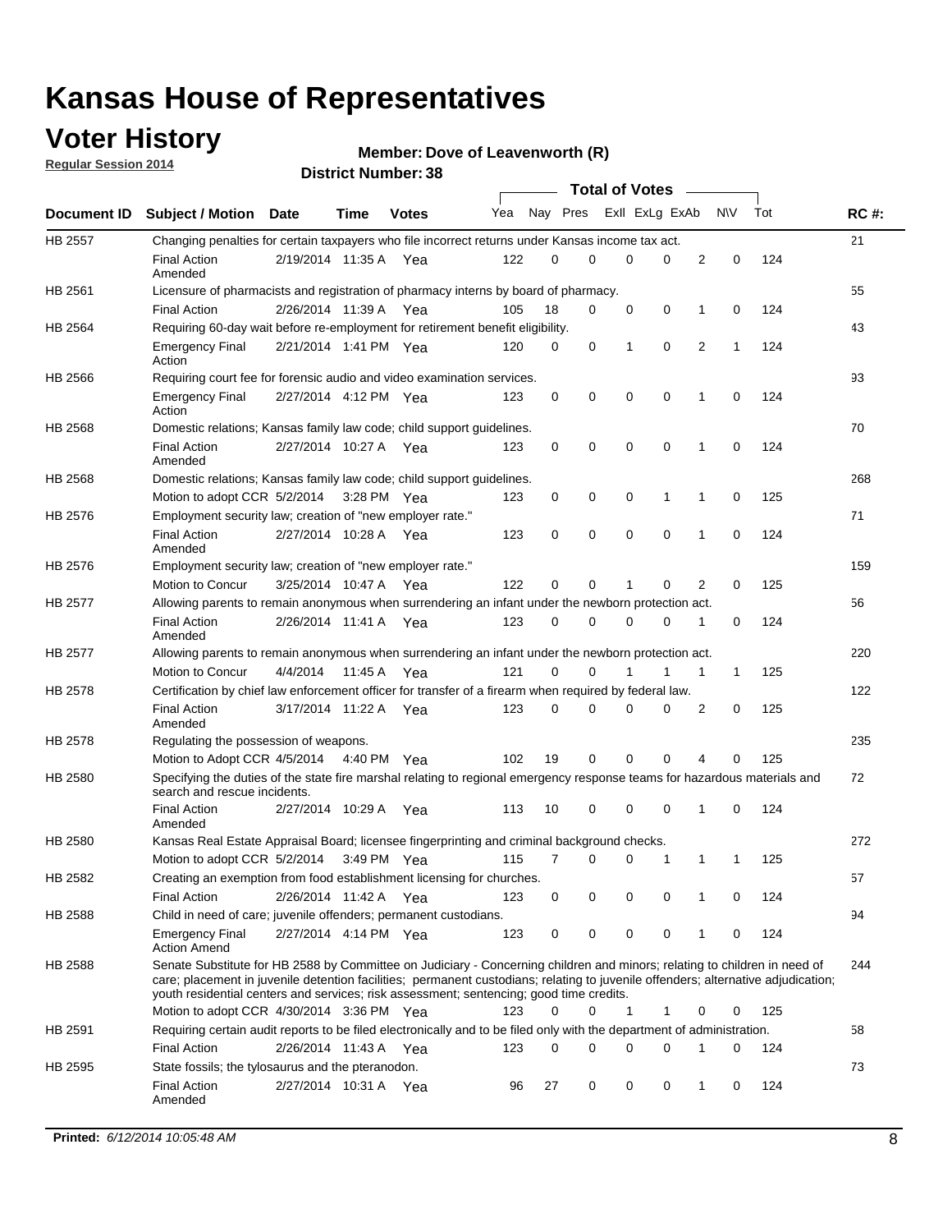### **Voter History**

**Regular Session 2014**

#### **Member: Dove of Leavenworth (R)**

|                |                                                                                                                                                                                                                                                                                                                                                           |                       |             |               |     |          |   | <b>Total of Votes</b> |             |              |              |     |             |
|----------------|-----------------------------------------------------------------------------------------------------------------------------------------------------------------------------------------------------------------------------------------------------------------------------------------------------------------------------------------------------------|-----------------------|-------------|---------------|-----|----------|---|-----------------------|-------------|--------------|--------------|-----|-------------|
|                | Document ID Subject / Motion Date                                                                                                                                                                                                                                                                                                                         |                       | Time        | <b>Votes</b>  | Yea | Nay Pres |   | Exll ExLg ExAb        |             |              | <b>NV</b>    | Tot | <b>RC#:</b> |
| <b>HB 2557</b> | Changing penalties for certain taxpayers who file incorrect returns under Kansas income tax act.                                                                                                                                                                                                                                                          |                       |             |               |     |          |   |                       |             |              |              |     | 21          |
|                | <b>Final Action</b><br>Amended                                                                                                                                                                                                                                                                                                                            | 2/19/2014 11:35 A     |             | Yea           | 122 | 0        | 0 | 0                     | 0           | 2            | 0            | 124 |             |
| HB 2561        | Licensure of pharmacists and registration of pharmacy interns by board of pharmacy.                                                                                                                                                                                                                                                                       |                       |             |               |     |          |   |                       |             |              |              |     | 55          |
|                | <b>Final Action</b>                                                                                                                                                                                                                                                                                                                                       | 2/26/2014 11:39 A Yea |             |               | 105 | 18       | 0 | 0                     | 0           | 1            | 0            | 124 |             |
| HB 2564        | Requiring 60-day wait before re-employment for retirement benefit eligibility.                                                                                                                                                                                                                                                                            |                       |             |               |     |          |   |                       |             |              |              |     | 43          |
|                | <b>Emergency Final</b><br>Action                                                                                                                                                                                                                                                                                                                          | 2/21/2014 1:41 PM Yea |             |               | 120 | 0        | 0 | 1                     | 0           | 2            | 1            | 124 |             |
| HB 2566        | Requiring court fee for forensic audio and video examination services.                                                                                                                                                                                                                                                                                    |                       |             |               |     |          |   |                       |             |              |              |     | 93          |
|                | <b>Emergency Final</b><br>Action                                                                                                                                                                                                                                                                                                                          | 2/27/2014 4:12 PM Yea |             |               | 123 | 0        | 0 | 0                     | $\mathbf 0$ | 1            | $\mathbf 0$  | 124 |             |
| HB 2568        | Domestic relations; Kansas family law code; child support guidelines.                                                                                                                                                                                                                                                                                     |                       |             |               |     |          |   |                       |             |              |              |     | 70          |
|                | <b>Final Action</b><br>Amended                                                                                                                                                                                                                                                                                                                            | 2/27/2014 10:27 A     |             | Yea           | 123 | 0        | 0 | 0                     | 0           | 1            | 0            | 124 |             |
| HB 2568        | Domestic relations; Kansas family law code; child support guidelines.                                                                                                                                                                                                                                                                                     |                       |             |               |     |          |   |                       |             |              |              |     | 268         |
|                | Motion to adopt CCR 5/2/2014                                                                                                                                                                                                                                                                                                                              |                       | 3:28 PM Yea |               | 123 | 0        | 0 | 0                     | 1           | 1            | 0            | 125 |             |
| HB 2576        | Employment security law; creation of "new employer rate."                                                                                                                                                                                                                                                                                                 |                       |             |               |     |          |   |                       |             |              |              |     | 71          |
|                | <b>Final Action</b><br>Amended                                                                                                                                                                                                                                                                                                                            | 2/27/2014 10:28 A     |             | Yea           | 123 | 0        | 0 | 0                     | $\mathbf 0$ | 1            | 0            | 124 |             |
| HB 2576        | Employment security law; creation of "new employer rate."                                                                                                                                                                                                                                                                                                 |                       |             |               |     |          |   |                       |             |              |              |     | 159         |
|                | Motion to Concur                                                                                                                                                                                                                                                                                                                                          | 3/25/2014 10:47 A     |             | Yea           | 122 | 0        | 0 | 1                     | 0           | 2            | 0            | 125 |             |
| HB 2577        | Allowing parents to remain anonymous when surrendering an infant under the newborn protection act.                                                                                                                                                                                                                                                        |                       |             |               |     |          |   |                       |             |              |              |     | 56          |
|                | <b>Final Action</b><br>Amended                                                                                                                                                                                                                                                                                                                            | 2/26/2014 11:41 A Yea |             |               | 123 | 0        | 0 | 0                     | $\Omega$    | 1            | 0            | 124 |             |
| HB 2577        | Allowing parents to remain anonymous when surrendering an infant under the newborn protection act.                                                                                                                                                                                                                                                        |                       |             |               |     |          |   |                       |             |              |              |     | 220         |
|                | Motion to Concur                                                                                                                                                                                                                                                                                                                                          | 4/4/2014              | 11:45 A     | Yea           | 121 | $\Omega$ | 0 |                       | 1           | $\mathbf{1}$ | $\mathbf{1}$ | 125 |             |
| HB 2578        | Certification by chief law enforcement officer for transfer of a firearm when required by federal law.                                                                                                                                                                                                                                                    |                       |             |               |     |          |   |                       |             |              |              |     | 122         |
|                | <b>Final Action</b><br>Amended                                                                                                                                                                                                                                                                                                                            | 3/17/2014 11:22 A     |             | Yea           | 123 | $\Omega$ | 0 | 0                     | $\Omega$    | 2            | 0            | 125 |             |
| HB 2578        | Regulating the possession of weapons.                                                                                                                                                                                                                                                                                                                     |                       |             |               |     |          |   |                       |             |              |              |     | 235         |
|                | Motion to Adopt CCR 4/5/2014 4:40 PM Yea                                                                                                                                                                                                                                                                                                                  |                       |             |               | 102 | 19       | 0 | 0                     | 0           | 4            | $\Omega$     | 125 |             |
| HB 2580        | Specifying the duties of the state fire marshal relating to regional emergency response teams for hazardous materials and<br>search and rescue incidents.                                                                                                                                                                                                 |                       |             |               |     |          |   |                       |             |              |              |     | 72          |
|                | <b>Final Action</b><br>Amended                                                                                                                                                                                                                                                                                                                            | 2/27/2014 10:29 A     |             | Yea           | 113 | 10       | 0 | 0                     | 0           | 1            | 0            | 124 |             |
| HB 2580        | Kansas Real Estate Appraisal Board; licensee fingerprinting and criminal background checks.                                                                                                                                                                                                                                                               |                       |             |               |     |          |   |                       |             |              |              |     | 272         |
|                | Motion to adopt CCR 5/2/2014                                                                                                                                                                                                                                                                                                                              |                       |             | $3:49$ PM Yea | 115 | 7        | 0 | 0                     | 1           | 1            | -1           | 125 |             |
| HB 2582        | Creating an exemption from food establishment licensing for churches.                                                                                                                                                                                                                                                                                     |                       |             |               |     |          |   |                       |             |              |              |     | 57          |
|                | <b>Final Action</b>                                                                                                                                                                                                                                                                                                                                       | 2/26/2014 11:42 A Yea |             |               | 123 | 0        | 0 | 0                     | 0           | 1            | 0            | 124 |             |
| HB 2588        | Child in need of care; juvenile offenders; permanent custodians.                                                                                                                                                                                                                                                                                          |                       |             |               |     |          |   |                       |             |              |              |     | 94          |
|                | <b>Emergency Final</b><br><b>Action Amend</b>                                                                                                                                                                                                                                                                                                             | 2/27/2014 4:14 PM Yea |             |               | 123 | 0        | 0 | 0                     | 0           | 1            | 0            | 124 |             |
| HB 2588        | Senate Substitute for HB 2588 by Committee on Judiciary - Concerning children and minors; relating to children in need of<br>care; placement in juvenile detention facilities; permanent custodians; relating to juvenile offenders; alternative adjudication;<br>youth residential centers and services; risk assessment; sentencing; good time credits. |                       |             |               |     |          |   |                       |             |              |              |     | 244         |
|                | Motion to adopt CCR 4/30/2014 3:36 PM Yea                                                                                                                                                                                                                                                                                                                 |                       |             |               | 123 | 0        | 0 | 1                     | 1           | 0            | 0            | 125 |             |
| HB 2591        | Requiring certain audit reports to be filed electronically and to be filed only with the department of administration.                                                                                                                                                                                                                                    |                       |             |               |     |          |   |                       |             |              |              |     | 58          |
|                | <b>Final Action</b>                                                                                                                                                                                                                                                                                                                                       | 2/26/2014 11:43 A Yea |             |               | 123 | 0        | 0 | 0                     | 0           | 1            | 0            | 124 |             |
| HB 2595        | State fossils; the tylosaurus and the pteranodon.                                                                                                                                                                                                                                                                                                         |                       |             |               |     |          |   |                       |             |              |              |     | 73          |
|                | <b>Final Action</b><br>Amended                                                                                                                                                                                                                                                                                                                            | 2/27/2014 10:31 A Yea |             |               | 96  | 27       | 0 | 0                     | 0           | 1            | 0            | 124 |             |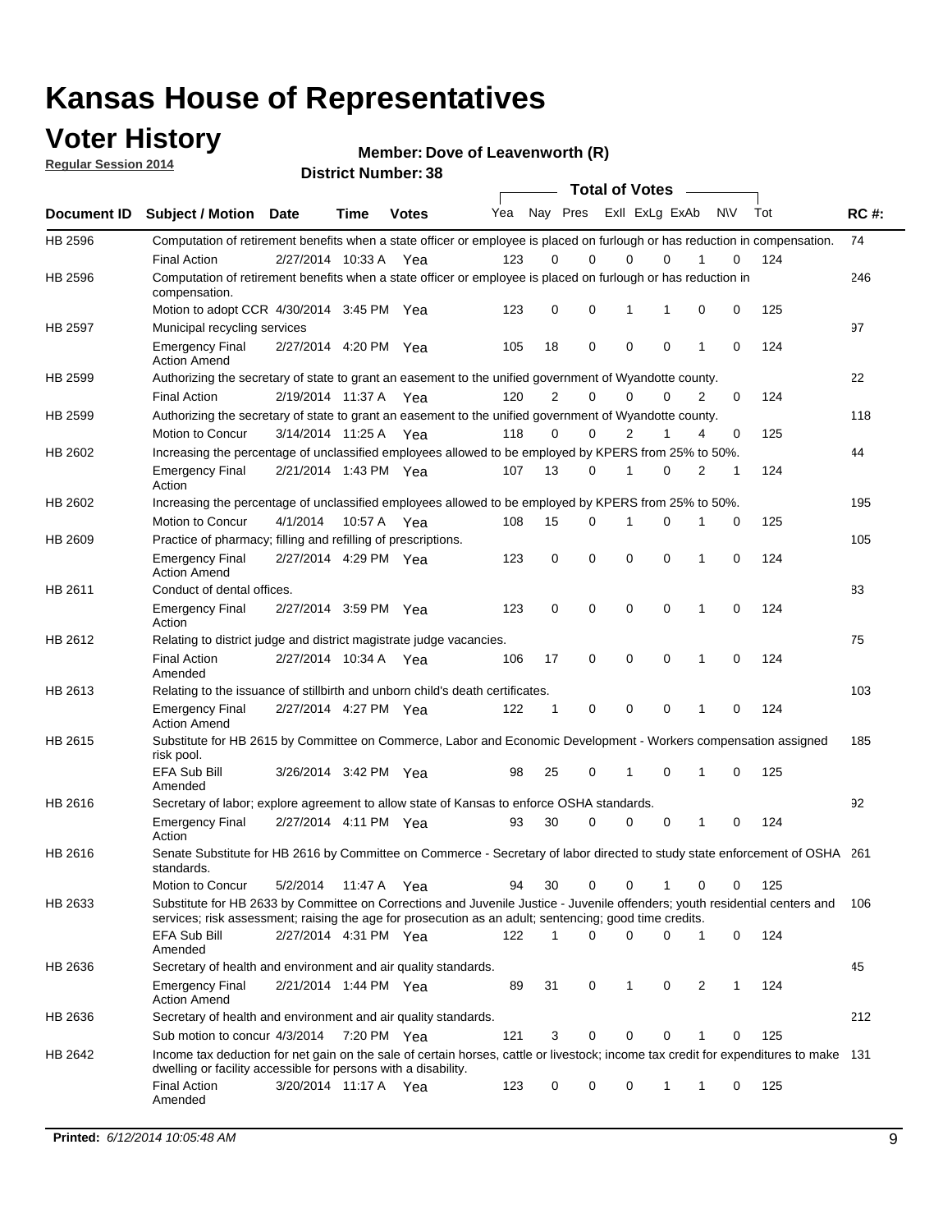### **Voter History**

**Regular Session 2014**

**Member: Dove of Leavenworth (R)** 

| <b>District Number: 38</b> |  |
|----------------------------|--|
|                            |  |

|             |                                                                                                                                                                                                                                       |                       |             |              |     |             | <b>Total of Votes</b>   |             |             |              |           |     |             |
|-------------|---------------------------------------------------------------------------------------------------------------------------------------------------------------------------------------------------------------------------------------|-----------------------|-------------|--------------|-----|-------------|-------------------------|-------------|-------------|--------------|-----------|-----|-------------|
| Document ID | <b>Subject / Motion Date</b>                                                                                                                                                                                                          |                       | <b>Time</b> | <b>Votes</b> | Yea |             | Nay Pres Exll ExLg ExAb |             |             |              | <b>NV</b> | Tot | <b>RC#:</b> |
| HB 2596     | Computation of retirement benefits when a state officer or employee is placed on furlough or has reduction in compensation.                                                                                                           |                       |             |              |     |             |                         |             |             |              |           |     | 74          |
|             | <b>Final Action</b>                                                                                                                                                                                                                   | 2/27/2014 10:33 A     |             | Yea          | 123 | 0           | 0                       | $\mathbf 0$ | $\Omega$    |              | 0         | 124 |             |
| HB 2596     | Computation of retirement benefits when a state officer or employee is placed on furlough or has reduction in<br>compensation.                                                                                                        |                       |             |              |     |             |                         |             |             |              |           |     | 246         |
|             | Motion to adopt CCR 4/30/2014 3:45 PM Yea                                                                                                                                                                                             |                       |             |              | 123 | 0           | 0                       | 1           | 1           | 0            | 0         | 125 |             |
| HB 2597     | Municipal recycling services                                                                                                                                                                                                          |                       |             |              |     |             |                         |             |             |              |           |     | 97          |
|             | <b>Emergency Final</b><br><b>Action Amend</b>                                                                                                                                                                                         | 2/27/2014 4:20 PM Yea |             |              | 105 | 18          | 0                       | $\mathbf 0$ | 0           | $\mathbf{1}$ | 0         | 124 |             |
| HB 2599     | Authorizing the secretary of state to grant an easement to the unified government of Wyandotte county.                                                                                                                                |                       |             |              |     |             |                         |             |             |              |           |     | 22          |
|             | <b>Final Action</b>                                                                                                                                                                                                                   | 2/19/2014 11:37 A     |             | Yea          | 120 | 2           | 0                       | 0           | $\mathbf 0$ | 2            | 0         | 124 |             |
| HB 2599     | Authorizing the secretary of state to grant an easement to the unified government of Wyandotte county.                                                                                                                                |                       |             |              |     |             |                         |             |             |              |           |     | 118         |
|             | Motion to Concur                                                                                                                                                                                                                      | 3/14/2014 11:25 A     |             | Yea          | 118 | 0           | 0                       | 2           | 1           | 4            | 0         | 125 |             |
| HB 2602     | Increasing the percentage of unclassified employees allowed to be employed by KPERS from 25% to 50%.                                                                                                                                  |                       |             |              |     |             |                         |             |             |              |           |     | 44          |
|             | <b>Emergency Final</b><br>Action                                                                                                                                                                                                      | 2/21/2014 1:43 PM Yea |             |              | 107 | 13          | 0                       | 1           | 0           | 2            | 1         | 124 |             |
| HB 2602     | Increasing the percentage of unclassified employees allowed to be employed by KPERS from 25% to 50%.                                                                                                                                  |                       |             |              |     |             |                         |             |             |              |           |     | 195         |
|             | Motion to Concur                                                                                                                                                                                                                      | 4/1/2014              | 10:57 A     | Yea          | 108 | 15          | 0                       | 1           | $\mathbf 0$ | 1            | 0         | 125 |             |
| HB 2609     | Practice of pharmacy; filling and refilling of prescriptions.                                                                                                                                                                         |                       |             |              |     |             |                         |             |             |              |           |     | 105         |
|             | <b>Emergency Final</b><br><b>Action Amend</b>                                                                                                                                                                                         | 2/27/2014 4:29 PM Yea |             |              | 123 | $\mathbf 0$ | $\mathbf 0$             | $\mathbf 0$ | $\mathbf 0$ | 1            | $\Omega$  | 124 |             |
| HB 2611     | Conduct of dental offices.                                                                                                                                                                                                            |                       |             |              |     |             |                         |             |             |              |           |     | 83          |
|             | <b>Emergency Final</b><br>Action                                                                                                                                                                                                      | 2/27/2014 3:59 PM Yea |             |              | 123 | 0           | 0                       | $\mathbf 0$ | $\mathbf 0$ | 1            | 0         | 124 |             |
| HB 2612     | Relating to district judge and district magistrate judge vacancies.                                                                                                                                                                   |                       |             |              |     |             |                         |             |             |              |           |     | 75          |
|             | <b>Final Action</b><br>Amended                                                                                                                                                                                                        | 2/27/2014 10:34 A     |             | Yea          | 106 | 17          | 0                       | $\mathbf 0$ | $\mathbf 0$ | 1            | 0         | 124 |             |
| HB 2613     | Relating to the issuance of stillbirth and unborn child's death certificates.                                                                                                                                                         |                       |             |              |     |             |                         |             |             |              |           |     | 103         |
|             | <b>Emergency Final</b><br><b>Action Amend</b>                                                                                                                                                                                         | 2/27/2014 4:27 PM Yea |             |              | 122 | $\mathbf 1$ | $\mathbf 0$             | $\mathbf 0$ | 0           | 1            | 0         | 124 |             |
| HB 2615     | Substitute for HB 2615 by Committee on Commerce, Labor and Economic Development - Workers compensation assigned<br>risk pool.                                                                                                         |                       |             |              |     |             |                         |             |             |              |           |     | 185         |
|             | EFA Sub Bill<br>Amended                                                                                                                                                                                                               | 3/26/2014 3:42 PM Yea |             |              | 98  | 25          | 0                       | 1           | 0           | 1            | 0         | 125 |             |
| HB 2616     | Secretary of labor; explore agreement to allow state of Kansas to enforce OSHA standards.                                                                                                                                             |                       |             |              |     |             |                         |             |             |              |           |     | 92          |
|             | <b>Emergency Final</b><br>Action                                                                                                                                                                                                      | 2/27/2014 4:11 PM Yea |             |              | 93  | 30          | $\Omega$                | $\mathbf 0$ | 0           | 1            | 0         | 124 |             |
| HB 2616     | Senate Substitute for HB 2616 by Committee on Commerce - Secretary of labor directed to study state enforcement of OSHA 261<br>standards.                                                                                             |                       |             |              |     |             |                         |             |             |              |           |     |             |
|             | Motion to Concur                                                                                                                                                                                                                      | 5/2/2014 11:47 A      |             | Yea          | 94  | 30          | 0                       | $\mathbf 0$ | 1           | 0            | 0         | 125 |             |
| HB 2633     | Substitute for HB 2633 by Committee on Corrections and Juvenile Justice - Juvenile offenders; youth residential centers and<br>services; risk assessment; raising the age for prosecution as an adult; sentencing; good time credits. |                       |             |              |     |             |                         |             |             |              |           |     | - 106       |
|             | EFA Sub Bill<br>Amended                                                                                                                                                                                                               | 2/27/2014 4:31 PM Yea |             |              | 122 | 1           | 0                       | 0           | 0           | 1            | 0         | 124 |             |
| HB 2636     | Secretary of health and environment and air quality standards.                                                                                                                                                                        |                       |             |              |     |             |                         |             |             |              |           |     | 45          |
|             | <b>Emergency Final</b><br><b>Action Amend</b>                                                                                                                                                                                         | 2/21/2014 1:44 PM Yea |             |              | 89  | 31          | 0                       | 1           | 0           | 2            |           | 124 |             |
| HB 2636     | Secretary of health and environment and air quality standards.                                                                                                                                                                        |                       |             |              |     |             |                         |             |             |              |           |     | 212         |
|             | Sub motion to concur 4/3/2014                                                                                                                                                                                                         |                       | 7:20 PM Yea |              | 121 | 3           | 0                       | 0           | 0           | 1            | 0         | 125 |             |
| HB 2642     | Income tax deduction for net gain on the sale of certain horses, cattle or livestock; income tax credit for expenditures to make 131<br>dwelling or facility accessible for persons with a disability.                                |                       |             |              |     |             |                         |             |             |              |           |     |             |
|             | <b>Final Action</b><br>Amended                                                                                                                                                                                                        | 3/20/2014 11:17 A Yea |             |              | 123 | 0           | 0                       | 0           | 1           | 1            | 0         | 125 |             |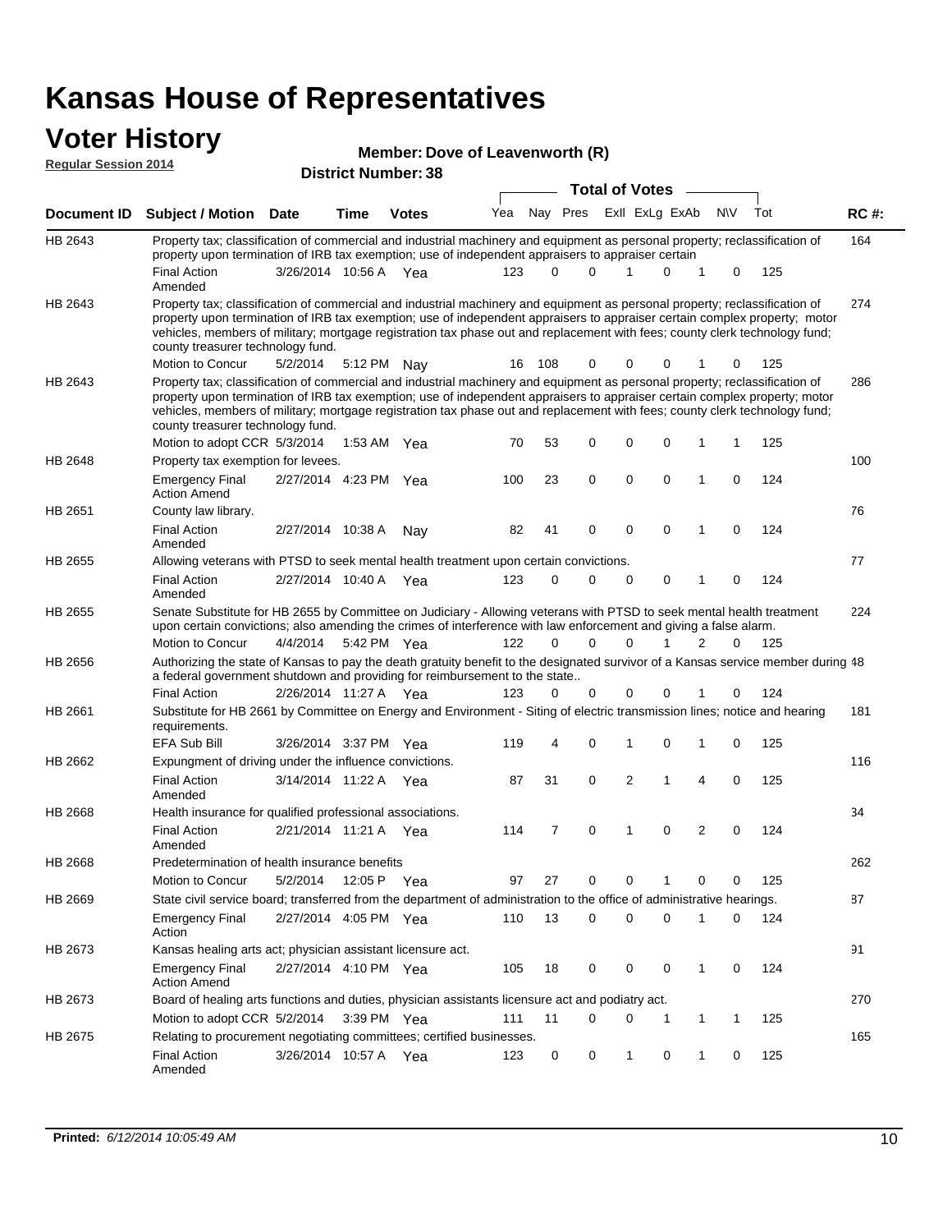#### **Voter History Regular Session 2014**

| Member: Dove of Leavenworth (R) |  |
|---------------------------------|--|
| <b>P.A. 1999</b>                |  |

|             | <b>District Number: 38</b><br><b>Total of Votes</b>                                                                                                                                                                                                                                                                                                                                                                           |                                                                                                                                                  |             |              |     |          |                         |  |                |             |                |          |     |             |  |
|-------------|-------------------------------------------------------------------------------------------------------------------------------------------------------------------------------------------------------------------------------------------------------------------------------------------------------------------------------------------------------------------------------------------------------------------------------|--------------------------------------------------------------------------------------------------------------------------------------------------|-------------|--------------|-----|----------|-------------------------|--|----------------|-------------|----------------|----------|-----|-------------|--|
|             |                                                                                                                                                                                                                                                                                                                                                                                                                               |                                                                                                                                                  |             |              |     |          |                         |  |                |             |                |          |     |             |  |
| Document ID | <b>Subject / Motion Date</b>                                                                                                                                                                                                                                                                                                                                                                                                  |                                                                                                                                                  | <b>Time</b> | <b>Votes</b> | Yea |          | Nay Pres ExII ExLg ExAb |  |                |             | <b>NV</b>      |          | Tot | <b>RC#:</b> |  |
| HB 2643     | Property tax; classification of commercial and industrial machinery and equipment as personal property; reclassification of<br>property upon termination of IRB tax exemption; use of independent appraisers to appraiser certain                                                                                                                                                                                             |                                                                                                                                                  |             |              |     |          |                         |  |                |             |                |          |     | 164         |  |
|             | <b>Final Action</b><br>Amended                                                                                                                                                                                                                                                                                                                                                                                                | 3/26/2014 10:56 A Yea                                                                                                                            |             |              | 123 | $\Omega$ | 0                       |  |                | $\Omega$    | $\mathbf 1$    | 0        | 125 |             |  |
| HB 2643     | Property tax; classification of commercial and industrial machinery and equipment as personal property; reclassification of<br>property upon termination of IRB tax exemption; use of independent appraisers to appraiser certain complex property; motor<br>vehicles, members of military; mortgage registration tax phase out and replacement with fees; county clerk technology fund;<br>county treasurer technology fund. |                                                                                                                                                  |             |              |     |          |                         |  |                |             |                |          |     | 274         |  |
|             | Motion to Concur                                                                                                                                                                                                                                                                                                                                                                                                              | 5/2/2014                                                                                                                                         |             | 5:12 PM Nay  | 16  | 108      | 0                       |  | $\Omega$       | 0           | 1              | 0        | 125 |             |  |
| HB 2643     | Property tax; classification of commercial and industrial machinery and equipment as personal property; reclassification of<br>property upon termination of IRB tax exemption; use of independent appraisers to appraiser certain complex property; motor<br>vehicles, members of military; mortgage registration tax phase out and replacement with fees; county clerk technology fund;<br>county treasurer technology fund. |                                                                                                                                                  |             |              |     |          |                         |  |                |             |                |          |     | 286         |  |
|             | Motion to adopt CCR 5/3/2014                                                                                                                                                                                                                                                                                                                                                                                                  |                                                                                                                                                  |             | 1:53 AM Yea  | 70  | 53       | 0                       |  | $\mathbf 0$    | $\mathbf 0$ | 1              | 1        | 125 |             |  |
| HB 2648     | Property tax exemption for levees.<br><b>Emergency Final</b><br><b>Action Amend</b>                                                                                                                                                                                                                                                                                                                                           | 2/27/2014 4:23 PM Yea                                                                                                                            |             |              | 100 | 23       | $\mathbf 0$             |  | $\mathbf 0$    | $\mathbf 0$ | $\mathbf{1}$   | 0        | 124 | 100         |  |
| HB 2651     | County law library.                                                                                                                                                                                                                                                                                                                                                                                                           |                                                                                                                                                  |             |              |     |          |                         |  |                |             |                |          |     | 76          |  |
|             | <b>Final Action</b><br>Amended                                                                                                                                                                                                                                                                                                                                                                                                | 2/27/2014 10:38 A                                                                                                                                |             | Nav          | 82  | 41       | $\mathbf 0$             |  | $\mathbf 0$    | $\mathbf 0$ | $\mathbf{1}$   | $\Omega$ | 124 |             |  |
| HB 2655     | Allowing veterans with PTSD to seek mental health treatment upon certain convictions.                                                                                                                                                                                                                                                                                                                                         |                                                                                                                                                  |             |              |     |          |                         |  |                |             |                |          |     | 77          |  |
|             | <b>Final Action</b><br>Amended                                                                                                                                                                                                                                                                                                                                                                                                | 2/27/2014 10:40 A                                                                                                                                |             | Yea          | 123 | 0        | 0                       |  | 0              | 0           | 1              | 0        | 124 |             |  |
| HB 2655     | Senate Substitute for HB 2655 by Committee on Judiciary - Allowing veterans with PTSD to seek mental health treatment<br>upon certain convictions; also amending the crimes of interference with law enforcement and giving a false alarm.<br><b>Motion to Concur</b>                                                                                                                                                         | 4/4/2014                                                                                                                                         |             |              | 122 | 0        | 0                       |  | $\mathbf 0$    | 1           | $\overline{2}$ | 0        | 125 | 224         |  |
|             |                                                                                                                                                                                                                                                                                                                                                                                                                               | 5:42 PM Yea<br>Authorizing the state of Kansas to pay the death gratuity benefit to the designated survivor of a Kansas service member during 48 |             |              |     |          |                         |  |                |             |                |          |     |             |  |
| HB 2656     | a federal government shutdown and providing for reimbursement to the state                                                                                                                                                                                                                                                                                                                                                    |                                                                                                                                                  |             |              |     |          |                         |  |                |             |                |          |     |             |  |
|             | <b>Final Action</b>                                                                                                                                                                                                                                                                                                                                                                                                           | 2/26/2014 11:27 A                                                                                                                                |             | Yea          | 123 | 0        | 0                       |  | $\mathbf 0$    | $\Omega$    | 1              | 0        | 124 |             |  |
| HB 2661     | Substitute for HB 2661 by Committee on Energy and Environment - Siting of electric transmission lines; notice and hearing<br>requirements.                                                                                                                                                                                                                                                                                    |                                                                                                                                                  |             |              |     |          |                         |  |                |             |                |          |     | 181         |  |
|             | EFA Sub Bill                                                                                                                                                                                                                                                                                                                                                                                                                  | 3/26/2014 3:37 PM Yea                                                                                                                            |             |              | 119 | 4        | 0                       |  | 1              | $\mathbf 0$ | 1              | 0        | 125 |             |  |
| HB 2662     | Expungment of driving under the influence convictions.                                                                                                                                                                                                                                                                                                                                                                        |                                                                                                                                                  |             |              |     |          |                         |  |                |             |                |          |     | 116         |  |
|             | <b>Final Action</b><br>Amended                                                                                                                                                                                                                                                                                                                                                                                                | 3/14/2014 11:22 A                                                                                                                                |             | Yea          | 87  | 31       | 0                       |  | $\overline{2}$ | 1           | 4              | 0        | 125 |             |  |
| HB 2668     | Health insurance for qualified professional associations.                                                                                                                                                                                                                                                                                                                                                                     |                                                                                                                                                  |             |              |     |          |                         |  |                |             |                |          |     | 34          |  |
|             | <b>Final Action</b><br>Amended                                                                                                                                                                                                                                                                                                                                                                                                | 2/21/2014 11:21 A Yea                                                                                                                            |             |              | 114 | 7        | $\mathbf 0$             |  | 1              | $\Omega$    | 2              | 0        | 124 |             |  |
| HB 2668     | Predetermination of health insurance benefits                                                                                                                                                                                                                                                                                                                                                                                 |                                                                                                                                                  |             |              |     |          |                         |  |                |             |                |          |     | 262         |  |
|             | Motion to Concur                                                                                                                                                                                                                                                                                                                                                                                                              | 5/2/2014                                                                                                                                         |             | 12:05 P Yea  | 97  | 27       | 0                       |  | 0              |             | 0              | 0        | 125 |             |  |
| HB 2669     | State civil service board; transferred from the department of administration to the office of administrative hearings.                                                                                                                                                                                                                                                                                                        |                                                                                                                                                  |             |              |     |          |                         |  |                |             |                |          |     | 87          |  |
|             | <b>Emergency Final</b><br>Action                                                                                                                                                                                                                                                                                                                                                                                              | 2/27/2014 4:05 PM Yea                                                                                                                            |             |              | 110 | 13       | 0                       |  | $\mathbf 0$    | 0           | 1              | 0        | 124 |             |  |
| HB 2673     | Kansas healing arts act; physician assistant licensure act.                                                                                                                                                                                                                                                                                                                                                                   |                                                                                                                                                  |             |              |     |          |                         |  |                |             |                |          |     | 91          |  |
|             | <b>Emergency Final</b><br><b>Action Amend</b>                                                                                                                                                                                                                                                                                                                                                                                 | 2/27/2014 4:10 PM Yea                                                                                                                            |             |              | 105 | 18       | 0                       |  | 0              | 0           | 1              | 0        | 124 |             |  |
| HB 2673     | Board of healing arts functions and duties, physician assistants licensure act and podiatry act.                                                                                                                                                                                                                                                                                                                              |                                                                                                                                                  |             |              |     |          |                         |  |                |             |                |          |     | 270         |  |
|             | Motion to adopt CCR 5/2/2014 3:39 PM Yea                                                                                                                                                                                                                                                                                                                                                                                      |                                                                                                                                                  |             |              | 111 | 11       | 0                       |  | 0              | -1          | 1              | 1        | 125 |             |  |
| HB 2675     | Relating to procurement negotiating committees; certified businesses.                                                                                                                                                                                                                                                                                                                                                         |                                                                                                                                                  |             |              |     |          |                         |  |                |             |                |          |     | 165         |  |
|             | <b>Final Action</b><br>Amended                                                                                                                                                                                                                                                                                                                                                                                                | 3/26/2014 10:57 A Yea                                                                                                                            |             |              | 123 | 0        | 0                       |  | 1              | 0           | 1              | 0        | 125 |             |  |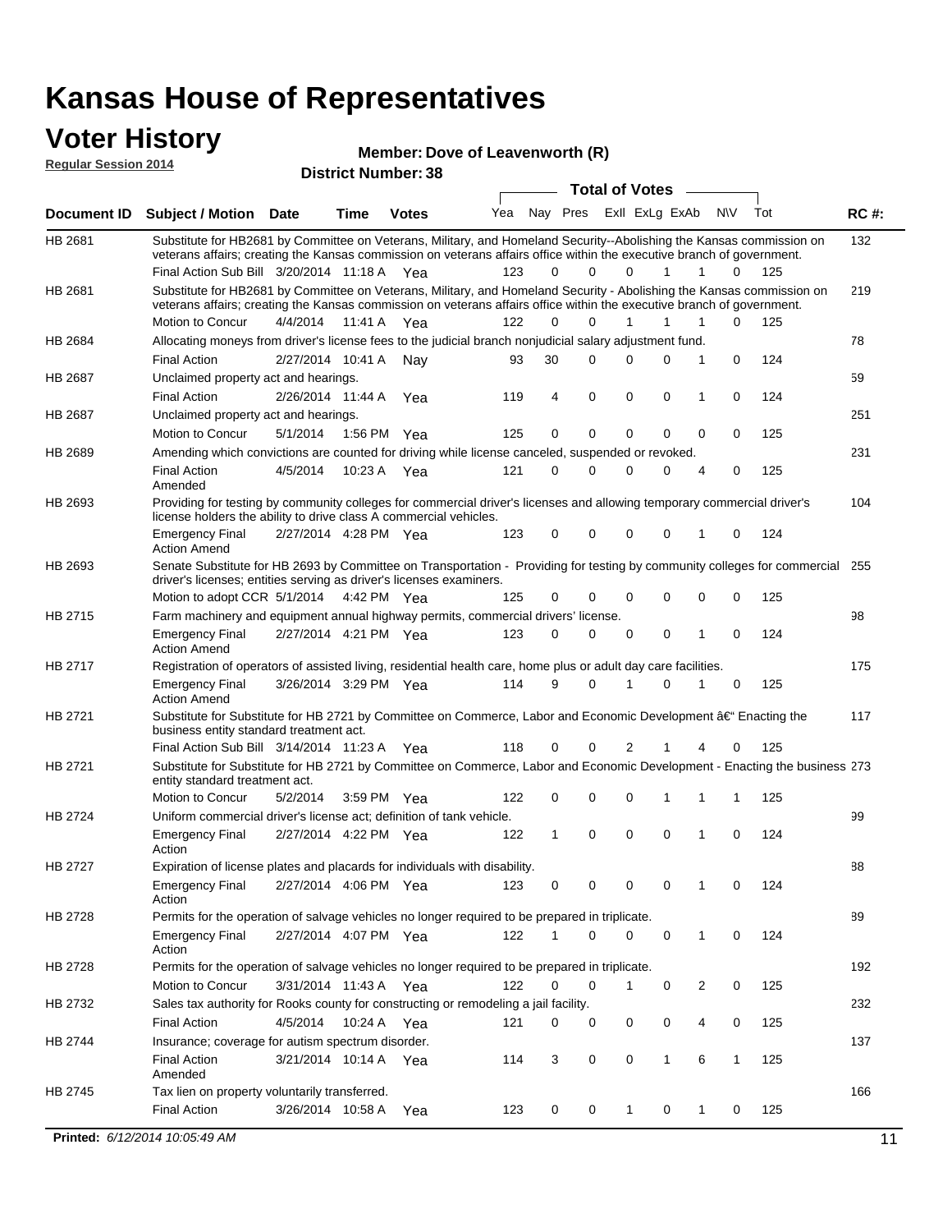#### **Voter History Regular Session 2014**

#### **Member: Dove of Leavenworth (R)**

| nuyurur Uuddivii Luim |                                                                                                                                                                                                                                                                     | <b>District Number: 38</b> |             |              |     |          |  |             |                         |             |                |              |     |             |
|-----------------------|---------------------------------------------------------------------------------------------------------------------------------------------------------------------------------------------------------------------------------------------------------------------|----------------------------|-------------|--------------|-----|----------|--|-------------|-------------------------|-------------|----------------|--------------|-----|-------------|
|                       |                                                                                                                                                                                                                                                                     |                            |             |              |     |          |  |             | <b>Total of Votes</b>   |             |                |              |     |             |
| <b>Document ID</b>    | <b>Subject / Motion Date</b>                                                                                                                                                                                                                                        |                            | <b>Time</b> | <b>Votes</b> | Yea |          |  |             | Nay Pres ExII ExLg ExAb |             |                | <b>NV</b>    | Tot | <b>RC#:</b> |
| HB 2681               | Substitute for HB2681 by Committee on Veterans, Military, and Homeland Security--Abolishing the Kansas commission on<br>veterans affairs; creating the Kansas commission on veterans affairs office within the executive branch of government.                      |                            |             |              |     |          |  |             |                         |             |                |              |     | 132         |
|                       | Final Action Sub Bill 3/20/2014 11:18 A Yea                                                                                                                                                                                                                         |                            |             |              | 123 | 0        |  | $\Omega$    | $\Omega$                | 1           | 1              | 0            | 125 |             |
| HB 2681               | Substitute for HB2681 by Committee on Veterans, Military, and Homeland Security - Abolishing the Kansas commission on<br>veterans affairs; creating the Kansas commission on veterans affairs office within the executive branch of government.<br>Motion to Concur | 4/4/2014                   |             | 11:41 A Yea  | 122 | $\Omega$ |  | $\Omega$    | 1                       | 1           | 1              | 0            | 125 | 219         |
| HB 2684               | Allocating moneys from driver's license fees to the judicial branch nonjudicial salary adjustment fund.                                                                                                                                                             |                            |             |              |     |          |  |             |                         |             |                |              |     | 78          |
|                       | <b>Final Action</b>                                                                                                                                                                                                                                                 | 2/27/2014 10:41 A          |             | Nav          | 93  | 30       |  | $\Omega$    | $\Omega$                | 0           | 1              | $\Omega$     | 124 |             |
| HB 2687               | Unclaimed property act and hearings.                                                                                                                                                                                                                                |                            |             |              |     |          |  |             |                         |             |                |              |     | 59          |
|                       | <b>Final Action</b>                                                                                                                                                                                                                                                 | 2/26/2014 11:44 A          |             | Yea          | 119 | 4        |  | $\mathbf 0$ | 0                       | 0           | 1              | 0            | 124 |             |
| HB 2687               | Unclaimed property act and hearings.                                                                                                                                                                                                                                |                            |             |              |     |          |  |             |                         |             |                |              |     | 251         |
|                       | Motion to Concur                                                                                                                                                                                                                                                    | 5/1/2014                   | 1:56 PM     | Yea          | 125 | 0        |  | $\mathbf 0$ | $\mathbf 0$             | 0           | 0              | 0            | 125 |             |
| HB 2689               | Amending which convictions are counted for driving while license canceled, suspended or revoked.                                                                                                                                                                    |                            |             |              |     |          |  |             |                         |             |                |              |     | 231         |
|                       | <b>Final Action</b><br>Amended                                                                                                                                                                                                                                      | 4/5/2014                   | 10:23 A     | Yea          | 121 | 0        |  | 0           | $\Omega$                | $\Omega$    | 4              | 0            | 125 |             |
| HB 2693               | Providing for testing by community colleges for commercial driver's licenses and allowing temporary commercial driver's<br>license holders the ability to drive class A commercial vehicles.                                                                        |                            |             |              |     |          |  |             |                         |             |                |              |     | 104         |
|                       | <b>Emergency Final</b><br><b>Action Amend</b>                                                                                                                                                                                                                       | 2/27/2014 4:28 PM Yea      |             |              | 123 | 0        |  | 0           | $\Omega$                | 0           | 1              | 0            | 124 |             |
| HB 2693               | Senate Substitute for HB 2693 by Committee on Transportation - Providing for testing by community colleges for commercial<br>driver's licenses; entities serving as driver's licenses examiners.                                                                    |                            |             |              |     |          |  |             |                         |             |                |              |     | 255         |
|                       | Motion to adopt CCR 5/1/2014                                                                                                                                                                                                                                        |                            |             | 4:42 PM Yea  | 125 | 0        |  | 0           | 0                       | 0           | 0              | 0            | 125 |             |
| HB 2715               | Farm machinery and equipment annual highway permits, commercial drivers' license.                                                                                                                                                                                   |                            |             |              |     |          |  |             |                         |             |                |              |     | 98          |
|                       | <b>Emergency Final</b><br><b>Action Amend</b>                                                                                                                                                                                                                       | 2/27/2014 4:21 PM Yea      |             |              | 123 | 0        |  | 0           | 0                       | 0           | 1              | 0            | 124 |             |
| HB 2717               | Registration of operators of assisted living, residential health care, home plus or adult day care facilities.                                                                                                                                                      |                            |             |              |     |          |  |             |                         |             |                |              |     | 175         |
|                       | <b>Emergency Final</b><br><b>Action Amend</b>                                                                                                                                                                                                                       | 3/26/2014 3:29 PM Yea      |             |              | 114 | 9        |  | 0           |                         | $\Omega$    | 1              | 0            | 125 |             |
| HB 2721               | Substitute for Substitute for HB 2721 by Committee on Commerce, Labor and Economic Development †Enacting the<br>business entity standard treatment act.                                                                                                             |                            |             |              |     |          |  |             |                         |             |                |              |     | 117         |
|                       | Final Action Sub Bill 3/14/2014 11:23 A Yea                                                                                                                                                                                                                         |                            |             |              | 118 | 0        |  | 0           | 2                       |             |                | 0            | 125 |             |
| HB 2721               | Substitute for Substitute for HB 2721 by Committee on Commerce, Labor and Economic Development - Enacting the business 273<br>entity standard treatment act.                                                                                                        |                            |             |              |     |          |  |             |                         |             |                |              |     |             |
|                       | Motion to Concur                                                                                                                                                                                                                                                    | 5/2/2014                   |             | 3:59 PM Yea  | 122 | 0        |  | 0           | $\mathbf 0$             | 1           | 1              | 1            | 125 |             |
| HB 2724               | Uniform commercial driver's license act; definition of tank vehicle.                                                                                                                                                                                                |                            |             |              |     |          |  |             |                         |             |                |              |     | 99          |
|                       | <b>Emergency Final</b><br>Action                                                                                                                                                                                                                                    | 2/27/2014 4:22 PM Yea      |             |              | 122 | 1        |  | 0           | 0                       | $\mathbf 0$ | 1              | 0            | 124 |             |
| HB 2727               | Expiration of license plates and placards for individuals with disability.                                                                                                                                                                                          |                            |             |              |     |          |  |             |                         |             |                |              |     | 88          |
|                       | <b>Emergency Final</b><br>Action                                                                                                                                                                                                                                    | 2/27/2014 4:06 PM Yea      |             |              | 123 | 0        |  | 0           | 0                       | 0           | 1              | 0            | 124 |             |
| HB 2728               | Permits for the operation of salvage vehicles no longer required to be prepared in triplicate.                                                                                                                                                                      |                            |             |              |     |          |  |             |                         |             |                |              |     | 89          |
|                       | <b>Emergency Final</b><br>Action                                                                                                                                                                                                                                    | 2/27/2014 4:07 PM Yea      |             |              | 122 | 1        |  | 0           | 0                       | 0           | $\mathbf{1}$   | 0            | 124 |             |
| HB 2728               | Permits for the operation of salvage vehicles no longer required to be prepared in triplicate.                                                                                                                                                                      |                            |             |              |     |          |  |             |                         |             |                |              |     | 192         |
|                       | Motion to Concur                                                                                                                                                                                                                                                    | 3/31/2014 11:43 A Yea      |             |              | 122 | 0        |  | 0           | 1                       | 0           | $\overline{2}$ | 0            | 125 |             |
| HB 2732               | Sales tax authority for Rooks county for constructing or remodeling a jail facility.                                                                                                                                                                                |                            |             |              |     |          |  |             |                         |             |                |              |     | 232         |
|                       | <b>Final Action</b>                                                                                                                                                                                                                                                 | 4/5/2014                   |             | 10:24 A Yea  | 121 | 0        |  | 0           | 0                       | 0           | 4              | 0            | 125 |             |
| HB 2744               | Insurance; coverage for autism spectrum disorder.                                                                                                                                                                                                                   |                            |             |              |     |          |  |             |                         |             |                |              |     | 137         |
|                       | <b>Final Action</b><br>Amended                                                                                                                                                                                                                                      | 3/21/2014 10:14 A Yea      |             |              | 114 | 3        |  | 0           | 0                       | 1           | 6              | $\mathbf{1}$ | 125 |             |
| HB 2745               | Tax lien on property voluntarily transferred.                                                                                                                                                                                                                       |                            |             |              |     |          |  |             |                         |             |                |              |     | 166         |
|                       | <b>Final Action</b>                                                                                                                                                                                                                                                 | 3/26/2014 10:58 A          |             | Yea          | 123 | 0        |  | 0           | $\mathbf{1}$            | 0           | 1              | 0            | 125 |             |

**Printed:**  $6/12/2014$  10:05:49 AM 11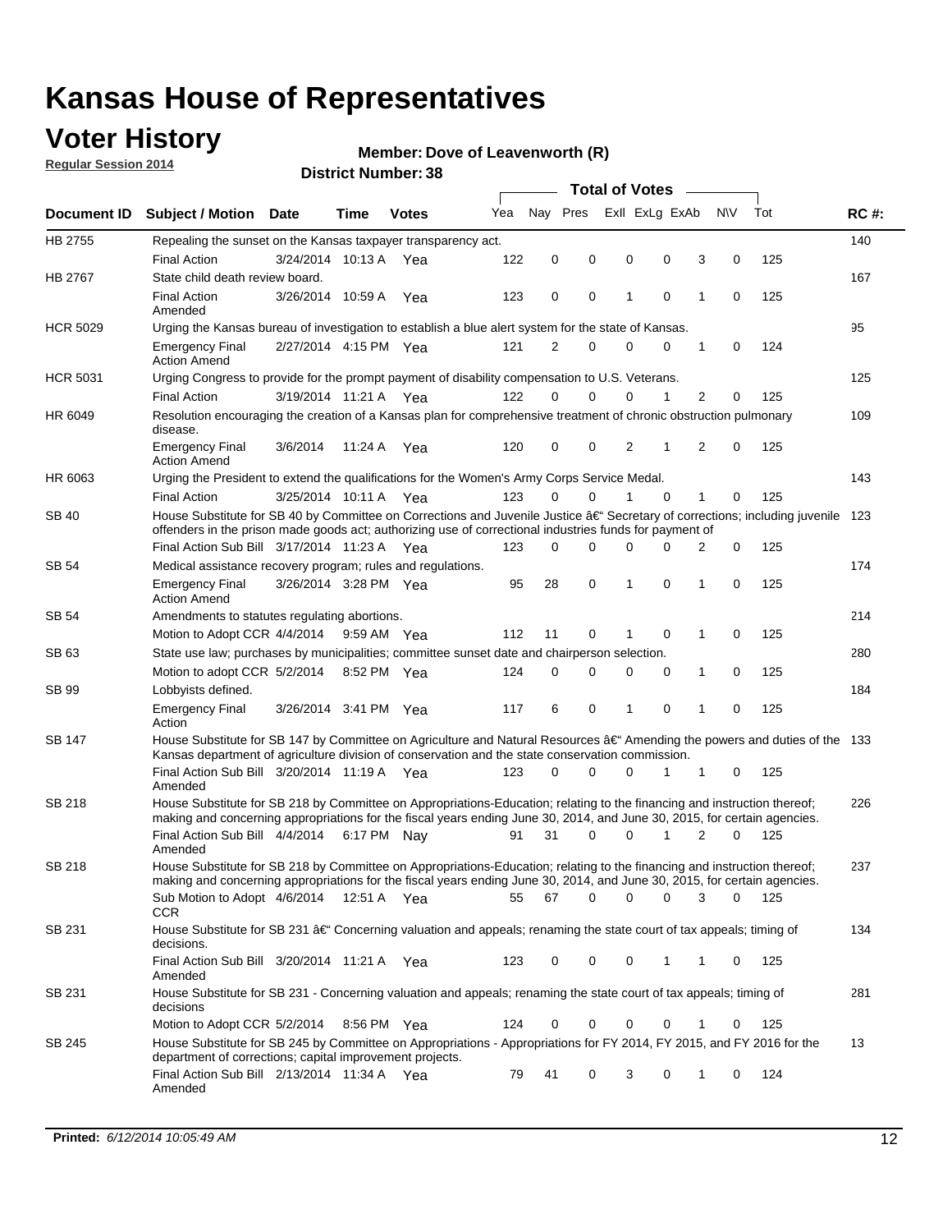### **Voter History**

**Regular Session 2014**

#### **Member: Dove of Leavenworth (R)**

|                 |                                                                                                                                                                                                                                                      |                       |             |              |     | <b>Total of Votes</b> |          |                |             |  |   |             |     |             |
|-----------------|------------------------------------------------------------------------------------------------------------------------------------------------------------------------------------------------------------------------------------------------------|-----------------------|-------------|--------------|-----|-----------------------|----------|----------------|-------------|--|---|-------------|-----|-------------|
| Document ID     | <b>Subject / Motion Date</b>                                                                                                                                                                                                                         |                       | Time        | <b>Votes</b> | Yea | Nay Pres              |          | Exll ExLg ExAb |             |  |   | <b>NV</b>   | Tot | <b>RC#:</b> |
| HB 2755         | Repealing the sunset on the Kansas taxpayer transparency act.                                                                                                                                                                                        |                       |             |              |     |                       |          |                |             |  |   |             |     | 140         |
|                 | <b>Final Action</b>                                                                                                                                                                                                                                  | 3/24/2014 10:13 A     |             | Yea          | 122 | 0                     | 0        | 0              | 0           |  | 3 | $\mathbf 0$ | 125 |             |
| HB 2767         | State child death review board.                                                                                                                                                                                                                      |                       |             |              |     |                       |          |                |             |  |   |             |     | 167         |
|                 | <b>Final Action</b><br>Amended                                                                                                                                                                                                                       | 3/26/2014 10:59 A     |             | Yea          | 123 | 0                     | 0        | 1              | 0           |  | 1 | 0           | 125 |             |
| <b>HCR 5029</b> | Urging the Kansas bureau of investigation to establish a blue alert system for the state of Kansas.                                                                                                                                                  |                       |             |              |     |                       |          |                |             |  |   |             |     | 95          |
|                 | <b>Emergency Final</b><br><b>Action Amend</b>                                                                                                                                                                                                        | 2/27/2014 4:15 PM Yea |             |              | 121 | 2                     | 0        | 0              | 0           |  | 1 | 0           | 124 |             |
| <b>HCR 5031</b> | Urging Congress to provide for the prompt payment of disability compensation to U.S. Veterans.                                                                                                                                                       |                       |             |              |     |                       |          |                |             |  |   |             |     | 125         |
|                 | <b>Final Action</b>                                                                                                                                                                                                                                  | 3/19/2014 11:21 A Yea |             |              | 122 | $\Omega$              | $\Omega$ | 0              | 1           |  | 2 | 0           | 125 |             |
| HR 6049         | Resolution encouraging the creation of a Kansas plan for comprehensive treatment of chronic obstruction pulmonary<br>disease.                                                                                                                        |                       |             |              |     |                       |          |                |             |  |   |             |     | 109         |
|                 | <b>Emergency Final</b><br><b>Action Amend</b>                                                                                                                                                                                                        | 3/6/2014              | 11:24 A     | Yea          | 120 | $\mathbf 0$           | 0        | 2              | 1           |  | 2 | $\mathbf 0$ | 125 |             |
| HR 6063         | Urging the President to extend the qualifications for the Women's Army Corps Service Medal.                                                                                                                                                          |                       |             |              |     |                       |          |                |             |  |   |             |     | 143         |
|                 | <b>Final Action</b>                                                                                                                                                                                                                                  | 3/25/2014 10:11 A Yea |             |              | 123 | 0                     | $\Omega$ | 1              | $\Omega$    |  | 1 | 0           | 125 |             |
| <b>SB 40</b>    | House Substitute for SB 40 by Committee on Corrections and Juvenile Justice $\hat{a}\in$ Secretary of corrections; including juvenile 123<br>offenders in the prison made goods act; authorizing use of correctional industries funds for payment of |                       |             |              |     |                       |          |                |             |  |   |             |     |             |
|                 | Final Action Sub Bill 3/17/2014 11:23 A Yea                                                                                                                                                                                                          |                       |             |              | 123 | 0                     | 0        | 0              | 0           |  | 2 | 0           | 125 |             |
| SB 54           | Medical assistance recovery program; rules and regulations.                                                                                                                                                                                          |                       |             |              |     |                       |          |                |             |  |   |             |     | 174         |
|                 | <b>Emergency Final</b><br><b>Action Amend</b>                                                                                                                                                                                                        | 3/26/2014 3:28 PM Yea |             |              | 95  | 28                    | 0        | 1              | 0           |  | 1 | $\mathbf 0$ | 125 |             |
| SB 54           | Amendments to statutes regulating abortions.                                                                                                                                                                                                         |                       |             |              |     |                       |          |                |             |  |   |             |     | 214         |
|                 | Motion to Adopt CCR 4/4/2014                                                                                                                                                                                                                         |                       | 9:59 AM Yea |              | 112 | 11                    | 0        |                | $\mathbf 0$ |  | 1 | $\mathbf 0$ | 125 |             |
| SB 63           | State use law; purchases by municipalities; committee sunset date and chairperson selection.<br>8:52 PM Yea                                                                                                                                          |                       |             |              |     |                       |          |                |             |  |   |             |     | 280         |
|                 | Motion to adopt CCR 5/2/2014                                                                                                                                                                                                                         |                       |             |              | 124 | $\mathbf 0$           | 0        | 0              | 0           |  | 1 | $\mathbf 0$ | 125 |             |
| SB 99           | Lobbyists defined.                                                                                                                                                                                                                                   |                       |             |              |     |                       |          |                |             |  |   |             |     | 184         |
|                 | <b>Emergency Final</b><br>Action                                                                                                                                                                                                                     | 3/26/2014 3:41 PM Yea |             |              | 117 | 6                     | 0        | 1              | 0           |  | 1 | $\mathbf 0$ | 125 |             |
| SB 147          | House Substitute for SB 147 by Committee on Agriculture and Natural Resources †Amending the powers and duties of the 133<br>Kansas department of agriculture division of conservation and the state conservation commission.                         |                       |             |              |     |                       |          |                |             |  |   |             |     |             |
|                 | Final Action Sub Bill 3/20/2014 11:19 A Yea<br>Amended                                                                                                                                                                                               |                       |             |              | 123 | $\Omega$              | $\Omega$ | 0              | 1           |  | 1 | 0           | 125 |             |
| <b>SB 218</b>   | House Substitute for SB 218 by Committee on Appropriations-Education; relating to the financing and instruction thereof;                                                                                                                             |                       |             |              |     |                       |          |                |             |  |   |             |     | 226         |
|                 | making and concerning appropriations for the fiscal years ending June 30, 2014, and June 30, 2015, for certain agencies.<br>Final Action Sub Bill 4/4/2014 6:17 PM Nay                                                                               |                       |             |              | 91  | 31                    | $\Omega$ | $\Omega$       | 1           |  | 2 | $\Omega$    | 125 |             |
|                 | Amended                                                                                                                                                                                                                                              |                       |             |              |     |                       |          |                |             |  |   |             |     |             |
| <b>SB 218</b>   | House Substitute for SB 218 by Committee on Appropriations-Education; relating to the financing and instruction thereof;                                                                                                                             |                       |             |              |     |                       |          |                |             |  |   |             |     | 237         |
|                 | making and concerning appropriations for the fiscal years ending June 30, 2014, and June 30, 2015, for certain agencies.                                                                                                                             |                       |             |              |     |                       |          |                |             |  |   |             |     |             |
|                 | Sub Motion to Adopt 4/6/2014 12:51 A Yea                                                                                                                                                                                                             |                       |             |              | 55  | 67                    | 0        | 0              | 0           |  | 3 | 0           | 125 |             |
| SB 231          | CCR.<br>House Substitute for SB 231 †Concerning valuation and appeals; renaming the state court of tax appeals; timing of<br>decisions.                                                                                                              |                       |             |              |     |                       |          |                |             |  |   |             |     | 134         |
|                 | Final Action Sub Bill 3/20/2014 11:21 A Yea                                                                                                                                                                                                          |                       |             |              | 123 | 0                     | 0        | 0              | 1           |  | 1 | 0           | 125 |             |
|                 | Amended                                                                                                                                                                                                                                              |                       |             |              |     |                       |          |                |             |  |   |             |     |             |
| SB 231          | House Substitute for SB 231 - Concerning valuation and appeals; renaming the state court of tax appeals; timing of<br>decisions                                                                                                                      |                       |             |              |     |                       |          |                |             |  |   |             |     | 281         |
|                 | Motion to Adopt CCR 5/2/2014 8:56 PM Yea                                                                                                                                                                                                             |                       |             |              | 124 | 0                     | 0        | 0              | 0           |  | 1 | 0           | 125 |             |
| SB 245          | House Substitute for SB 245 by Committee on Appropriations - Appropriations for FY 2014, FY 2015, and FY 2016 for the<br>department of corrections; capital improvement projects.                                                                    |                       |             |              |     |                       |          |                |             |  |   |             |     | 13          |
|                 | Final Action Sub Bill 2/13/2014 11:34 A Yea<br>Amended                                                                                                                                                                                               |                       |             |              | 79  | 41                    | 0        | 3              | 0           |  | 1 | 0           | 124 |             |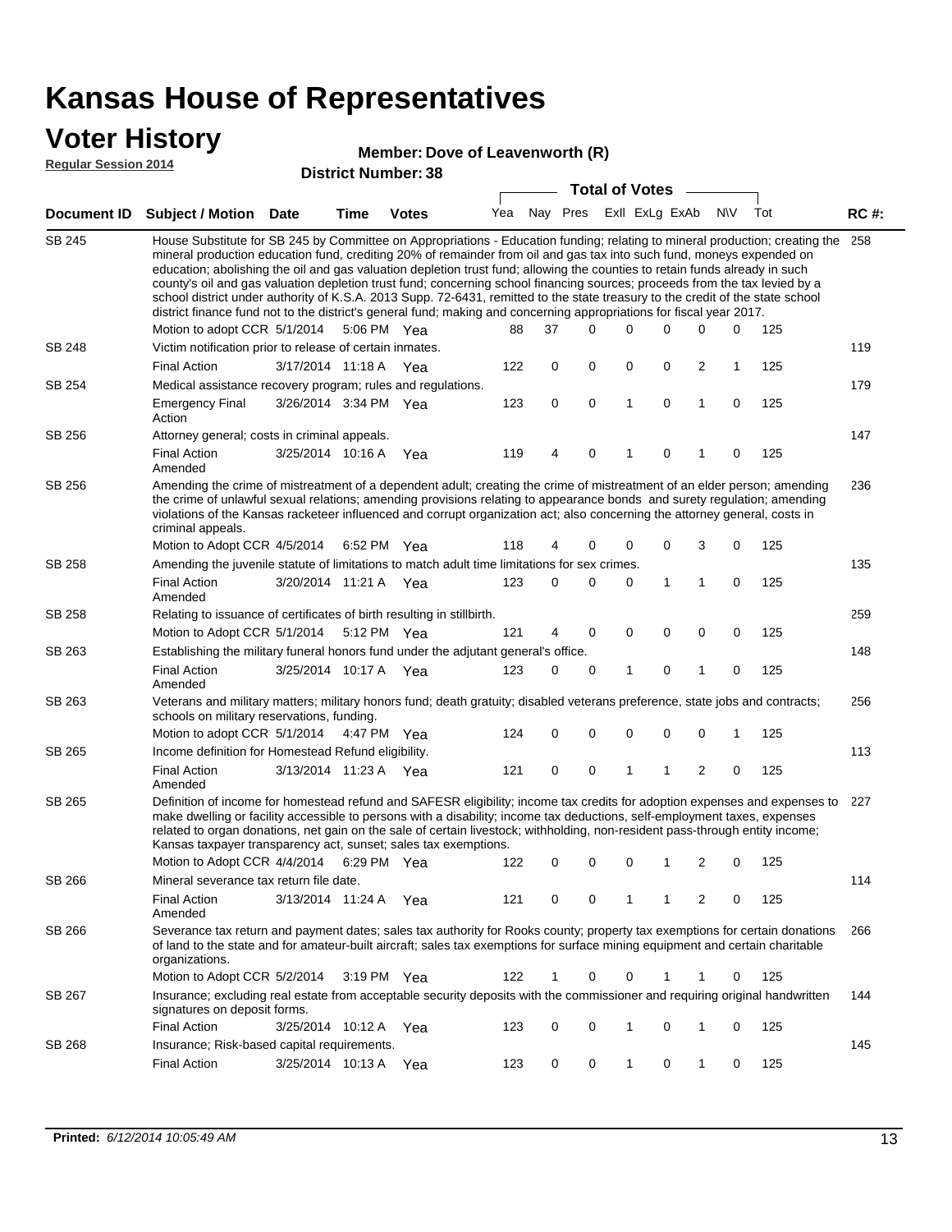### **Voter**

SB 245

SB 248

SB 254

SB 256

SB 256

SB 258

SB 258

SB 263

SB 263

Amended

schools on military reservations, funding.

| <b>Voter History</b><br>Member: Dove of Leavenworth (R)<br><b>Regular Session 2014</b><br><b>District Number: 38</b> |                                                                                                                                                                                                                                                                                                                                                                                                                                                                                                                                                                                                                                                                                                                                                                                                               |                       |             |              |                       |             |             |  |   |                |              |              |     |             |
|----------------------------------------------------------------------------------------------------------------------|---------------------------------------------------------------------------------------------------------------------------------------------------------------------------------------------------------------------------------------------------------------------------------------------------------------------------------------------------------------------------------------------------------------------------------------------------------------------------------------------------------------------------------------------------------------------------------------------------------------------------------------------------------------------------------------------------------------------------------------------------------------------------------------------------------------|-----------------------|-------------|--------------|-----------------------|-------------|-------------|--|---|----------------|--------------|--------------|-----|-------------|
|                                                                                                                      |                                                                                                                                                                                                                                                                                                                                                                                                                                                                                                                                                                                                                                                                                                                                                                                                               |                       |             |              | <b>Total of Votes</b> |             |             |  |   |                |              |              |     |             |
| <b>Document ID</b>                                                                                                   | <b>Subject / Motion</b>                                                                                                                                                                                                                                                                                                                                                                                                                                                                                                                                                                                                                                                                                                                                                                                       | <b>Date</b>           | <b>Time</b> | <b>Votes</b> | Yea                   |             | Nay Pres    |  |   | Exll ExLg ExAb |              | <b>NV</b>    | Tot | <b>RC#:</b> |
| SB 245                                                                                                               | House Substitute for SB 245 by Committee on Appropriations - Education funding; relating to mineral production; creating the<br>mineral production education fund, crediting 20% of remainder from oil and gas tax into such fund, moneys expended on<br>education; abolishing the oil and gas valuation depletion trust fund; allowing the counties to retain funds already in such<br>county's oil and gas valuation depletion trust fund; concerning school financing sources; proceeds from the tax levied by a<br>school district under authority of K.S.A. 2013 Supp. 72-6431, remitted to the state treasury to the credit of the state school<br>district finance fund not to the district's general fund; making and concerning appropriations for fiscal year 2017.<br>Motion to adopt CCR 5/1/2014 |                       | 5:06 PM Yea |              | 88                    | 37          | $\Omega$    |  | 0 | $\Omega$       | $\Omega$     | <sup>0</sup> | 125 | 258         |
| <b>SB 248</b>                                                                                                        | Victim notification prior to release of certain inmates.                                                                                                                                                                                                                                                                                                                                                                                                                                                                                                                                                                                                                                                                                                                                                      |                       |             |              |                       |             |             |  |   |                |              |              |     | 119         |
|                                                                                                                      | <b>Final Action</b>                                                                                                                                                                                                                                                                                                                                                                                                                                                                                                                                                                                                                                                                                                                                                                                           | 3/17/2014 11:18 A Yea |             |              | 122                   | $\Omega$    | $\mathbf 0$ |  | 0 | $\Omega$       | 2            | 1            | 125 |             |
| SB 254                                                                                                               | Medical assistance recovery program; rules and regulations.                                                                                                                                                                                                                                                                                                                                                                                                                                                                                                                                                                                                                                                                                                                                                   |                       |             |              |                       |             |             |  |   |                |              |              | 179 |             |
|                                                                                                                      | <b>Emergency Final</b><br>Action                                                                                                                                                                                                                                                                                                                                                                                                                                                                                                                                                                                                                                                                                                                                                                              | 3/26/2014 3:34 PM Yea |             |              | 123                   | $\mathbf 0$ | 0           |  | 1 | $\mathbf 0$    | $\mathbf{1}$ | 0            | 125 |             |
| SB 256                                                                                                               | Attorney general; costs in criminal appeals.                                                                                                                                                                                                                                                                                                                                                                                                                                                                                                                                                                                                                                                                                                                                                                  |                       |             |              |                       |             |             |  |   |                |              |              |     | 147         |
|                                                                                                                      | <b>Final Action</b><br>Amended                                                                                                                                                                                                                                                                                                                                                                                                                                                                                                                                                                                                                                                                                                                                                                                | 3/25/2014 10:16 A     |             | Yea          | 119                   | 4           | $\Omega$    |  |   | 0              |              | 0            | 125 |             |
| SB 256                                                                                                               | Amending the crime of mistreatment of a dependent adult; creating the crime of mistreatment of an elder person; amending<br>the crime of unlawful sexual relations; amending provisions relating to appearance bonds and surety regulation; amending<br>violations of the Kansas racketeer influenced and corrupt organization act; also concerning the attorney general, costs in<br>criminal appeals.                                                                                                                                                                                                                                                                                                                                                                                                       |                       |             |              |                       |             |             |  |   |                |              |              |     | 236         |
|                                                                                                                      | Motion to Adopt CCR 4/5/2014                                                                                                                                                                                                                                                                                                                                                                                                                                                                                                                                                                                                                                                                                                                                                                                  |                       | 6:52 PM Yea |              | 118                   | 4           | 0           |  | 0 | 0              | 3            | 0            | 125 |             |
| SB 258                                                                                                               | Amending the juvenile statute of limitations to match adult time limitations for sex crimes.                                                                                                                                                                                                                                                                                                                                                                                                                                                                                                                                                                                                                                                                                                                  |                       |             |              |                       |             |             |  |   |                |              |              |     | 135         |
|                                                                                                                      | <b>Final Action</b><br>Amended                                                                                                                                                                                                                                                                                                                                                                                                                                                                                                                                                                                                                                                                                                                                                                                | 3/20/2014 11:21 A Yea |             |              | 123                   | 0           | $\Omega$    |  | 0 | 1              | $\mathbf{1}$ | $\Omega$     | 125 |             |
| SB 258                                                                                                               | Relating to issuance of certificates of birth resulting in stillbirth.                                                                                                                                                                                                                                                                                                                                                                                                                                                                                                                                                                                                                                                                                                                                        |                       |             |              |                       |             |             |  |   |                |              |              |     | 259         |

5/1/2014 Motion to adopt CCR Yea 125 4:47 PM Yea 124 0 0 0 0 0 1 113 3/13/2014 Final Action Yea 125 11:23 A 121 0 1 0 20 1 SB 265 Amended Income definition for Homestead Refund eligibility. Definition of income for homestead refund and SAFESR eligibility; income tax credits for adoption expenses and expenses to 227 SB 265 make dwelling or facility accessible to persons with a disability; income tax deductions, self-employment taxes, expenses related to organ donations, net gain on the sale of certain livestock; withholding, non-resident pass-through entity income;

Motion to Adopt CCR 5/1/2014 5:12 PM Yea  $121$  4 0 0 0 0 0 0 125

Establishing the military funeral honors fund under the adjutant general's office.

3/25/2014 Final Action Yea 125 10:17 A 123 0 0 0 10 1

Veterans and military matters; military honors fund; death gratuity; disabled veterans preference, state jobs and contracts;

|                                             |  |                                                                                                           |                                                                   | 122         | 0                                                               | $\Omega$ |          |          | 2 | 0 | 125 |                                                                                                                                                                                                                                                                                                                                                                                             |
|---------------------------------------------|--|-----------------------------------------------------------------------------------------------------------|-------------------------------------------------------------------|-------------|-----------------------------------------------------------------|----------|----------|----------|---|---|-----|---------------------------------------------------------------------------------------------------------------------------------------------------------------------------------------------------------------------------------------------------------------------------------------------------------------------------------------------------------------------------------------------|
|                                             |  |                                                                                                           |                                                                   |             |                                                                 |          |          |          |   |   |     | 114                                                                                                                                                                                                                                                                                                                                                                                         |
| <b>Final Action</b><br>Amended              |  | 11:24 A                                                                                                   | Yea                                                               | 121         | 0                                                               | $\Omega$ |          |          | 2 | 0 | 125 |                                                                                                                                                                                                                                                                                                                                                                                             |
| organizations.                              |  |                                                                                                           |                                                                   |             |                                                                 |          |          |          |   |   |     | 266                                                                                                                                                                                                                                                                                                                                                                                         |
|                                             |  | 3:19 PM                                                                                                   | Yea                                                               | 122         |                                                                 | $\Omega$ | $\Omega$ |          |   | 0 | 125 |                                                                                                                                                                                                                                                                                                                                                                                             |
|                                             |  |                                                                                                           |                                                                   |             |                                                                 |          |          |          |   |   |     | 144                                                                                                                                                                                                                                                                                                                                                                                         |
| <b>Final Action</b>                         |  | 10:12 A                                                                                                   | Yea                                                               | 123         | $\Omega$                                                        | $\Omega$ |          | $\Omega$ |   | 0 | 125 |                                                                                                                                                                                                                                                                                                                                                                                             |
| Insurance: Risk-based capital requirements. |  |                                                                                                           |                                                                   |             |                                                                 |          |          |          |   |   |     | 145                                                                                                                                                                                                                                                                                                                                                                                         |
| <b>Final Action</b>                         |  | 10:13 A                                                                                                   | Yea                                                               | 123         | 0                                                               | $\Omega$ |          | $\Omega$ |   | 0 | 125 |                                                                                                                                                                                                                                                                                                                                                                                             |
|                                             |  | Motion to Adopt CCR 4/4/2014<br>Motion to Adopt CCR 5/2/2014<br>signatures on deposit forms.<br>3/25/2014 | Mineral severance tax return file date.<br>3/13/2014<br>3/25/2014 | 6:29 PM Yea | Kansas taxpayer transparency act, sunset; sales tax exemptions. |          |          |          |   |   |     | Severance tax return and payment dates; sales tax authority for Rooks county; property tax exemptions for certain donations<br>of land to the state and for amateur-built aircraft; sales tax exemptions for surface mining equipment and certain charitable<br>Insurance; excluding real estate from acceptable security deposits with the commissioner and requiring original handwritten |

148

256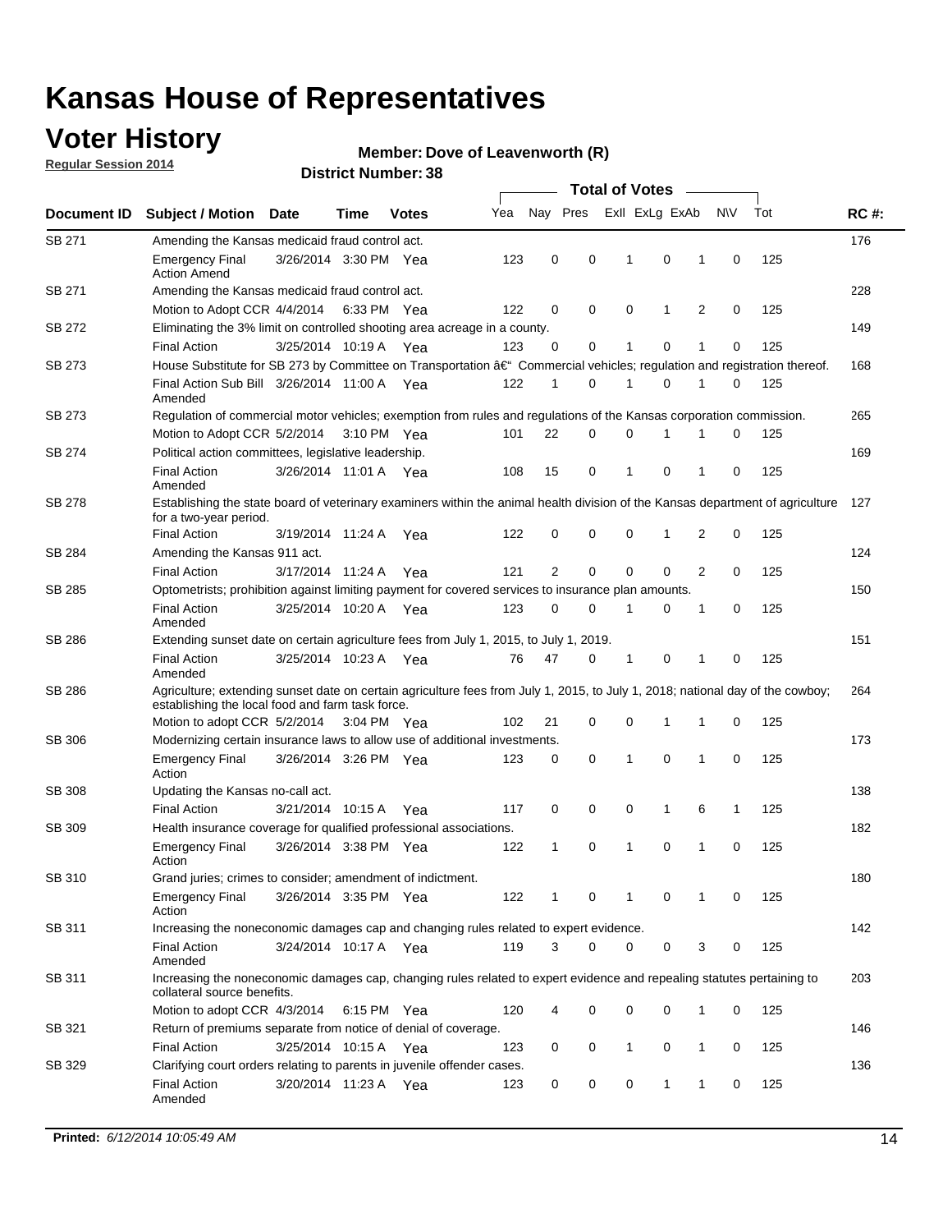### **Voter History**

**Regular Session 2014**

#### **Member: Dove of Leavenworth (R)**

|               | <b>Total of Votes</b>                                                                                                                                                              |                       |      |              |     |                |          |                |              |   |             |     |             |  |
|---------------|------------------------------------------------------------------------------------------------------------------------------------------------------------------------------------|-----------------------|------|--------------|-----|----------------|----------|----------------|--------------|---|-------------|-----|-------------|--|
| Document ID   | <b>Subject / Motion</b>                                                                                                                                                            | <b>Date</b>           | Time | <b>Votes</b> | Yea | Nay Pres       |          | Exll ExLg ExAb |              |   | N\V         | Tot | <b>RC#:</b> |  |
| SB 271        | Amending the Kansas medicaid fraud control act.                                                                                                                                    |                       |      |              |     |                |          |                |              |   |             |     | 176         |  |
|               | <b>Emergency Final</b><br><b>Action Amend</b>                                                                                                                                      | 3/26/2014 3:30 PM Yea |      |              | 123 | 0              | 0        | 1              | 0            | 1 | $\mathbf 0$ | 125 |             |  |
| SB 271        | Amending the Kansas medicaid fraud control act.                                                                                                                                    |                       |      |              |     |                |          |                |              |   |             |     | 228         |  |
|               | Motion to Adopt CCR 4/4/2014 6:33 PM Yea                                                                                                                                           |                       |      |              | 122 | 0              | 0        | $\mathbf 0$    | 1            | 2 | 0           | 125 |             |  |
| SB 272        | Eliminating the 3% limit on controlled shooting area acreage in a county.                                                                                                          |                       |      |              |     |                |          |                |              |   |             |     | 149         |  |
|               | <b>Final Action</b>                                                                                                                                                                | 3/25/2014 10:19 A Yea |      |              | 123 | 0              | 0        | 1              | 0            | 1 | $\mathbf 0$ | 125 |             |  |
| <b>SB 273</b> | House Substitute for SB 273 by Committee on Transportation †Commercial vehicles; regulation and registration thereof.                                                              |                       |      |              |     |                |          |                |              |   |             |     | 168         |  |
|               | Final Action Sub Bill 3/26/2014 11:00 A Yea<br>Amended                                                                                                                             |                       |      |              | 122 | 1              | 0        | 1              | 0            | 1 | 0           | 125 |             |  |
| SB 273        | Regulation of commercial motor vehicles; exemption from rules and regulations of the Kansas corporation commission.                                                                |                       |      |              |     |                |          |                |              |   |             |     | 265         |  |
|               | Motion to Adopt CCR 5/2/2014 3:10 PM Yea                                                                                                                                           |                       |      |              | 101 | 22             | 0        | 0              | 1            | 1 | 0           | 125 |             |  |
| SB 274        | Political action committees, legislative leadership.                                                                                                                               |                       |      |              |     |                |          |                |              |   |             |     | 169         |  |
|               | <b>Final Action</b><br>Amended                                                                                                                                                     | 3/26/2014 11:01 A Yea |      |              | 108 | 15             | 0        | 1              | 0            | 1 | 0           | 125 |             |  |
| <b>SB 278</b> | Establishing the state board of veterinary examiners within the animal health division of the Kansas department of agriculture<br>for a two-year period.                           |                       |      |              |     |                |          |                |              |   |             |     | 127         |  |
|               | <b>Final Action</b>                                                                                                                                                                | 3/19/2014 11:24 A     |      | Yea          | 122 | 0              | 0        | 0              | $\mathbf{1}$ | 2 | $\mathbf 0$ | 125 |             |  |
| SB 284        | Amending the Kansas 911 act.                                                                                                                                                       |                       |      |              |     |                |          |                |              |   |             |     | 124         |  |
|               | <b>Final Action</b>                                                                                                                                                                | 3/17/2014 11:24 A     |      | Yea          | 121 | $\overline{2}$ | 0        | 0              | 0            | 2 | 0           | 125 |             |  |
| SB 285        | Optometrists; prohibition against limiting payment for covered services to insurance plan amounts.                                                                                 |                       |      |              |     |                |          |                |              |   |             |     | 150         |  |
|               | <b>Final Action</b><br>Amended                                                                                                                                                     | 3/25/2014 10:20 A     |      | Yea          | 123 | 0              | 0        | 1              | 0            | 1 | 0           | 125 |             |  |
| SB 286        | Extending sunset date on certain agriculture fees from July 1, 2015, to July 1, 2019.                                                                                              |                       |      |              |     |                |          |                |              |   |             |     | 151         |  |
|               | <b>Final Action</b><br>Amended                                                                                                                                                     | 3/25/2014 10:23 A Yea |      |              | 76  | 47             | 0        | 1              | 0            | 1 | 0           | 125 | 264         |  |
| SB 286        | Agriculture; extending sunset date on certain agriculture fees from July 1, 2015, to July 1, 2018; national day of the cowboy;<br>establishing the local food and farm task force. |                       |      |              |     |                |          |                |              |   |             |     |             |  |
|               | Motion to adopt CCR 5/2/2014 3:04 PM Yea                                                                                                                                           |                       |      |              | 102 | 21             | 0        | $\mathbf 0$    | 1            | 1 | 0           | 125 |             |  |
| SB 306        | Modernizing certain insurance laws to allow use of additional investments.                                                                                                         |                       |      |              |     |                |          |                |              |   |             |     | 173         |  |
|               | <b>Emergency Final</b>                                                                                                                                                             | 3/26/2014 3:26 PM Yea |      |              | 123 | 0              | 0        | 1              | $\mathbf 0$  | 1 | 0           | 125 |             |  |
|               | Action                                                                                                                                                                             |                       |      |              |     |                |          |                |              |   |             |     |             |  |
| <b>SB 308</b> | Updating the Kansas no-call act.                                                                                                                                                   |                       |      |              |     |                |          |                |              |   |             |     | 138         |  |
|               | <b>Final Action</b>                                                                                                                                                                | 3/21/2014 10:15 A     |      | Yea          | 117 | 0              | 0        | 0              | $\mathbf{1}$ | 6 | 1           | 125 |             |  |
| SB 309        | Health insurance coverage for qualified professional associations.                                                                                                                 |                       |      |              |     |                |          |                |              |   |             |     | 182         |  |
|               | <b>Emergency Final</b><br>Action                                                                                                                                                   | 3/26/2014 3:38 PM Yea |      |              | 122 | 1              | 0        | 1              | 0            | 1 | $\mathbf 0$ | 125 |             |  |
| SB 310        | Grand juries; crimes to consider; amendment of indictment.                                                                                                                         |                       |      |              |     |                |          |                |              |   |             |     | 180         |  |
|               | <b>Emergency Final</b><br>Action                                                                                                                                                   | 3/26/2014 3:35 PM Yea |      |              | 122 |                | 0        | 1              | 0            | 1 | 0           | 125 |             |  |
| SB 311        | Increasing the noneconomic damages cap and changing rules related to expert evidence.                                                                                              |                       |      |              |     |                |          |                |              |   |             |     | 142         |  |
|               | <b>Final Action</b><br>Amended                                                                                                                                                     | 3/24/2014 10:17 A Yea |      |              | 119 | 3              | $\Omega$ | 0              | 0            | 3 | 0           | 125 |             |  |
| SB 311        | Increasing the noneconomic damages cap, changing rules related to expert evidence and repealing statutes pertaining to<br>collateral source benefits.                              |                       |      |              |     |                |          |                |              |   |             |     | 203         |  |
|               | Motion to adopt CCR 4/3/2014 6:15 PM Yea                                                                                                                                           |                       |      |              | 120 | 4              | 0        | 0              | 0            | 1 | 0           | 125 |             |  |
| SB 321        | Return of premiums separate from notice of denial of coverage.                                                                                                                     |                       |      |              |     |                |          |                |              |   |             |     | 146         |  |
|               | <b>Final Action</b>                                                                                                                                                                | 3/25/2014 10:15 A Yea |      |              | 123 | 0              | 0        | 1              | 0            | 1 | 0           | 125 |             |  |
| SB 329        | Clarifying court orders relating to parents in juvenile offender cases.<br><b>Final Action</b><br>Amended                                                                          | 3/20/2014 11:23 A Yea |      |              | 123 | 0              | 0        | 0              | $\mathbf{1}$ | 1 | 0           | 125 | 136         |  |
|               |                                                                                                                                                                                    |                       |      |              |     |                |          |                |              |   |             |     |             |  |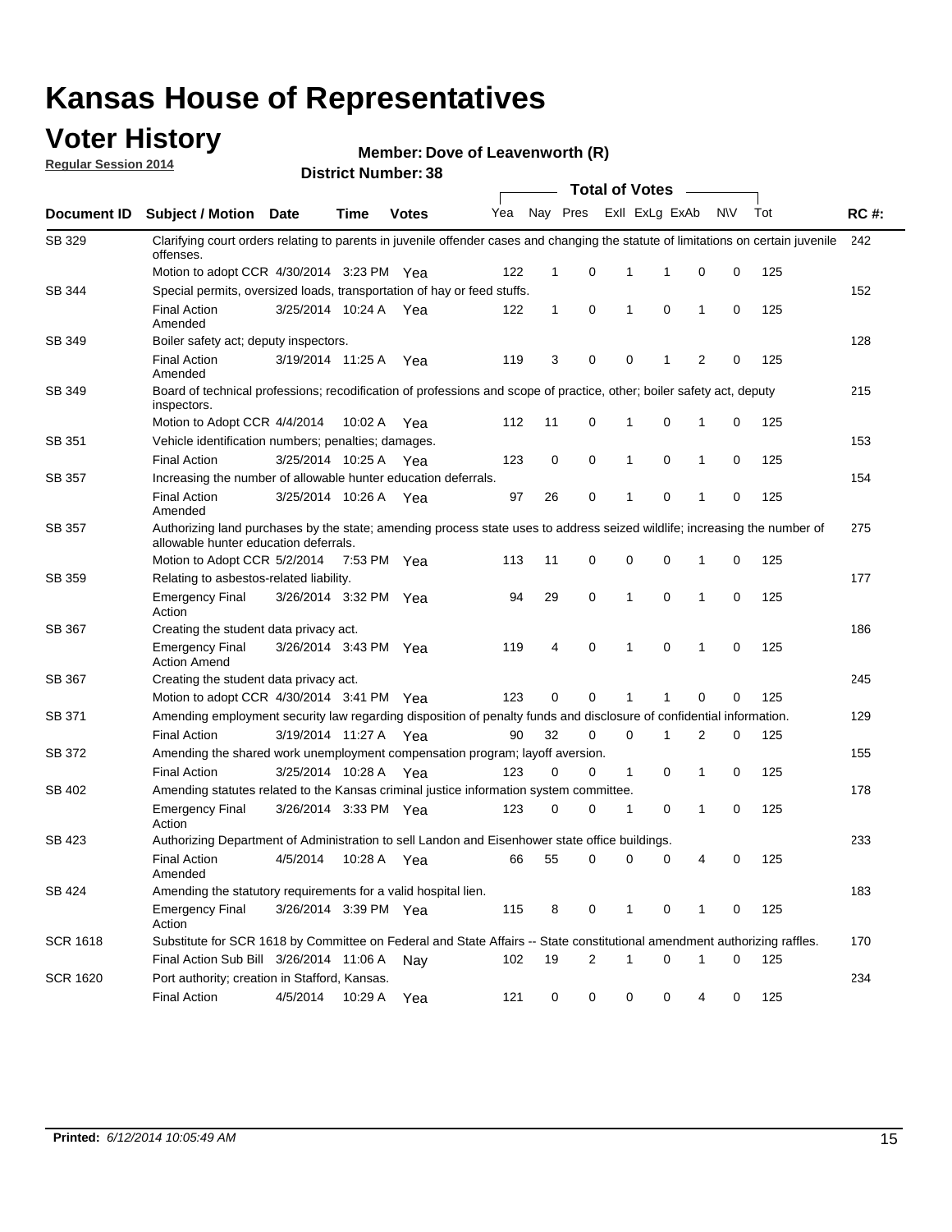### **Voter History**

**Regular Session 2014**

#### **Member: Dove of Leavenworth (R)**

|                 |                                                                                                                                                                    |                       |             |              |     |              |          | <b>Total of Votes</b> |                |                     |     |             |
|-----------------|--------------------------------------------------------------------------------------------------------------------------------------------------------------------|-----------------------|-------------|--------------|-----|--------------|----------|-----------------------|----------------|---------------------|-----|-------------|
| Document ID     | Subject / Motion Date                                                                                                                                              |                       | <b>Time</b> | <b>Votes</b> | Yea |              | Nay Pres |                       | Exll ExLg ExAb | <b>NV</b>           | Tot | <b>RC#:</b> |
| SB 329          | Clarifying court orders relating to parents in juvenile offender cases and changing the statute of limitations on certain juvenile<br>offenses.                    |                       |             |              |     |              |          |                       |                |                     |     | 242         |
|                 | Motion to adopt CCR 4/30/2014 3:23 PM Yea                                                                                                                          |                       |             |              | 122 | $\mathbf 1$  | 0        | 1                     | -1             | 0<br>0              | 125 |             |
| SB 344          | Special permits, oversized loads, transportation of hay or feed stuffs.                                                                                            |                       |             |              |     |              |          |                       |                |                     |     | 152         |
|                 | <b>Final Action</b><br>Amended                                                                                                                                     | 3/25/2014 10:24 A     |             | Yea          | 122 | $\mathbf{1}$ | 0        | 1                     | 0              | 1<br>0              | 125 |             |
| SB 349          | Boiler safety act; deputy inspectors.                                                                                                                              |                       |             |              |     |              |          |                       |                |                     |     | 128         |
|                 | <b>Final Action</b><br>Amended                                                                                                                                     | 3/19/2014 11:25 A     |             | Yea          | 119 | 3            | 0        | 0                     | 1              | $\overline{2}$<br>0 | 125 |             |
| SB 349          | Board of technical professions; recodification of professions and scope of practice, other; boiler safety act, deputy<br>inspectors.                               |                       |             |              |     |              |          |                       |                |                     |     | 215         |
|                 | Motion to Adopt CCR 4/4/2014                                                                                                                                       |                       | 10:02 A     | Yea          | 112 | 11           | 0        | 1                     | 0              | 0<br>1              | 125 |             |
| SB 351          | Vehicle identification numbers; penalties; damages.                                                                                                                |                       |             |              |     |              |          |                       |                |                     |     | 153         |
|                 | <b>Final Action</b>                                                                                                                                                | 3/25/2014 10:25 A     |             | Yea          | 123 | 0            | 0        | 1                     | 0              | 0<br>1              | 125 |             |
| <b>SB 357</b>   | Increasing the number of allowable hunter education deferrals.                                                                                                     |                       |             |              |     |              |          |                       |                |                     |     | 154         |
|                 | <b>Final Action</b><br>Amended                                                                                                                                     | 3/25/2014 10:26 A     |             | Yea          | 97  | 26           | 0        | 1                     | 0              | 0<br>1              | 125 |             |
| <b>SB 357</b>   | Authorizing land purchases by the state; amending process state uses to address seized wildlife; increasing the number of<br>allowable hunter education deferrals. |                       |             |              |     |              |          |                       |                |                     |     | 275         |
|                 | Motion to Adopt CCR 5/2/2014                                                                                                                                       |                       | 7:53 PM Yea |              | 113 | 11           | 0        | 0                     | $\mathbf 0$    | 0<br>1              | 125 |             |
| SB 359          | Relating to asbestos-related liability.                                                                                                                            |                       |             |              |     |              |          |                       |                |                     |     | 177         |
|                 | <b>Emergency Final</b><br>Action                                                                                                                                   | 3/26/2014 3:32 PM Yea |             |              | 94  | 29           | 0        | 1                     | $\mathbf 0$    | $\mathbf{1}$<br>0   | 125 |             |
| SB 367          | Creating the student data privacy act.                                                                                                                             |                       |             |              |     |              |          |                       |                |                     |     | 186         |
|                 | <b>Emergency Final</b><br><b>Action Amend</b>                                                                                                                      | 3/26/2014 3:43 PM Yea |             |              | 119 | 4            | 0        | 1                     | 0              | 0<br>1              | 125 |             |
| SB 367          | Creating the student data privacy act.                                                                                                                             |                       |             |              |     |              |          |                       |                |                     |     | 245         |
|                 | Motion to adopt CCR 4/30/2014 3:41 PM Yea                                                                                                                          |                       |             |              | 123 | 0            | $\Omega$ |                       | 1              | 0<br>0              | 125 |             |
| SB 371          | Amending employment security law regarding disposition of penalty funds and disclosure of confidential information.                                                |                       |             |              |     |              |          |                       |                |                     |     | 129         |
|                 | <b>Final Action</b>                                                                                                                                                | 3/19/2014 11:27 A     |             | Yea          | 90  | 32           | 0        | $\mathbf 0$           | 1              | 2<br>0              | 125 |             |
| SB 372          | Amending the shared work unemployment compensation program; layoff aversion.                                                                                       |                       |             |              |     |              |          |                       |                |                     |     | 155         |
|                 | <b>Final Action</b>                                                                                                                                                | 3/25/2014 10:28 A     |             | Yea          | 123 | 0            | 0        | $\mathbf{1}$          | 0              | 1<br>0              | 125 |             |
| SB 402          | Amending statutes related to the Kansas criminal justice information system committee.                                                                             |                       |             |              |     |              |          |                       |                |                     |     | 178         |
|                 | <b>Emergency Final</b><br>Action                                                                                                                                   | 3/26/2014 3:33 PM Yea |             |              | 123 | 0            | 0        | 1                     | 0              | 1<br>0              | 125 |             |
| SB 423          | Authorizing Department of Administration to sell Landon and Eisenhower state office buildings.                                                                     |                       |             |              |     |              |          |                       |                |                     |     | 233         |
|                 | <b>Final Action</b><br>Amended                                                                                                                                     | 4/5/2014              | 10:28 A Yea |              | 66  | 55           | 0        | 0                     | 0              | 0<br>4              | 125 |             |
| SB 424          | Amending the statutory requirements for a valid hospital lien.                                                                                                     |                       |             |              |     |              |          |                       |                |                     |     | 183         |
|                 | <b>Emergency Final</b><br>Action                                                                                                                                   | 3/26/2014 3:39 PM Yea |             |              | 115 | 8            | 0        | 1                     | 0              | 0<br>1              | 125 |             |
| <b>SCR 1618</b> | Substitute for SCR 1618 by Committee on Federal and State Affairs -- State constitutional amendment authorizing raffles.                                           |                       |             |              |     |              |          |                       |                |                     |     | 170         |
|                 | Final Action Sub Bill 3/26/2014 11:06 A                                                                                                                            |                       |             | Nav          | 102 | 19           | 2        | 1                     | 0              | 1<br>0              | 125 |             |
| <b>SCR 1620</b> | Port authority; creation in Stafford, Kansas.                                                                                                                      |                       |             |              |     |              |          |                       |                |                     |     | 234         |
|                 | <b>Final Action</b>                                                                                                                                                | 4/5/2014              | 10:29 A Yea |              | 121 | 0            | 0        | 0                     | 0              | 4<br>0              | 125 |             |